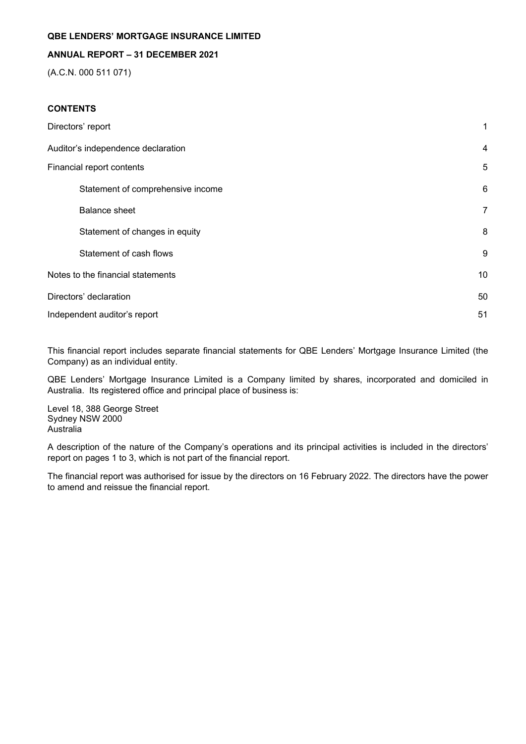## **ANNUAL REPORT – 31 DECEMBER 2021**

(A.C.N. 000 511 071)

## **CONTENTS**

| Directors' report                  | $\mathbf{1}$ |
|------------------------------------|--------------|
| Auditor's independence declaration | 4            |
| Financial report contents          | 5            |
| Statement of comprehensive income  | 6            |
| <b>Balance sheet</b>               | 7            |
| Statement of changes in equity     | 8            |
| Statement of cash flows            | 9            |
| Notes to the financial statements  | 10           |
| Directors' declaration             | 50           |
| Independent auditor's report       | 51           |

This financial report includes separate financial statements for QBE Lenders' Mortgage Insurance Limited (the Company) as an individual entity.

QBE Lenders' Mortgage Insurance Limited is a Company limited by shares, incorporated and domiciled in Australia. Its registered office and principal place of business is:

Level 18, 388 George Street Sydney NSW 2000 Australia

A description of the nature of the Company's operations and its principal activities is included in the directors' report on pages 1 to 3, which is not part of the financial report.

The financial report was authorised for issue by the directors on 16 February 2022. The directors have the power to amend and reissue the financial report.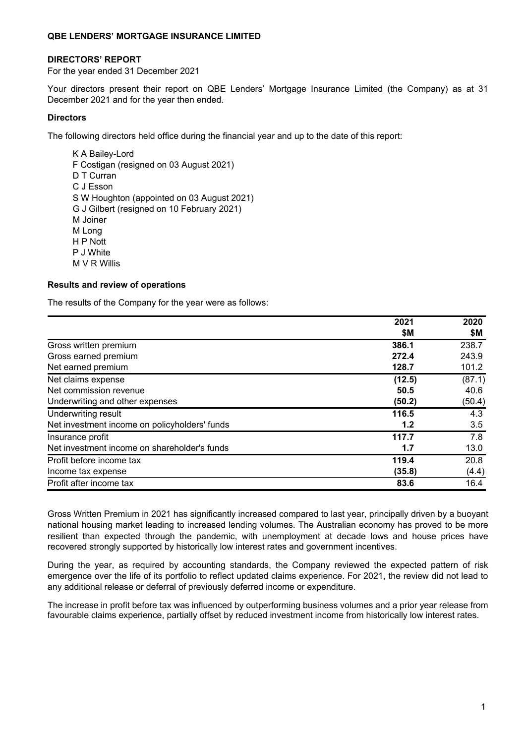#### **DIRECTORS' REPORT**

For the year ended 31 December 2021

Your directors present their report on QBE Lenders' Mortgage Insurance Limited (the Company) as at 31 December 2021 and for the year then ended.

### **Directors**

The following directors held office during the financial year and up to the date of this report:

K A Bailey-Lord F Costigan (resigned on 03 August 2021) D T Curran C J Esson S W Houghton (appointed on 03 August 2021) G J Gilbert (resigned on 10 February 2021) M Joiner M Long H P Nott P J White M V R Willis

#### **Results and review of operations**

The results of the Company for the year were as follows:

|                                               | 2021   | 2020   |
|-----------------------------------------------|--------|--------|
|                                               | \$Μ    | \$М    |
| Gross written premium                         | 386.1  | 238.7  |
| Gross earned premium                          | 272.4  | 243.9  |
| Net earned premium                            | 128.7  | 101.2  |
| Net claims expense                            | (12.5) | (87.1) |
| Net commission revenue                        | 50.5   | 40.6   |
| Underwriting and other expenses               | (50.2) | (50.4) |
| Underwriting result                           | 116.5  | 4.3    |
| Net investment income on policyholders' funds | 1.2    | 3.5    |
| Insurance profit                              | 117.7  | 7.8    |
| Net investment income on shareholder's funds  | 1.7    | 13.0   |
| Profit before income tax                      | 119.4  | 20.8   |
| Income tax expense                            | (35.8) | (4.4)  |
| Profit after income tax                       | 83.6   | 16.4   |

Gross Written Premium in 2021 has significantly increased compared to last year, principally driven by a buoyant national housing market leading to increased lending volumes. The Australian economy has proved to be more resilient than expected through the pandemic, with unemployment at decade lows and house prices have recovered strongly supported by historically low interest rates and government incentives.

During the year, as required by accounting standards, the Company reviewed the expected pattern of risk emergence over the life of its portfolio to reflect updated claims experience. For 2021, the review did not lead to any additional release or deferral of previously deferred income or expenditure.

The increase in profit before tax was influenced by outperforming business volumes and a prior year release from favourable claims experience, partially offset by reduced investment income from historically low interest rates.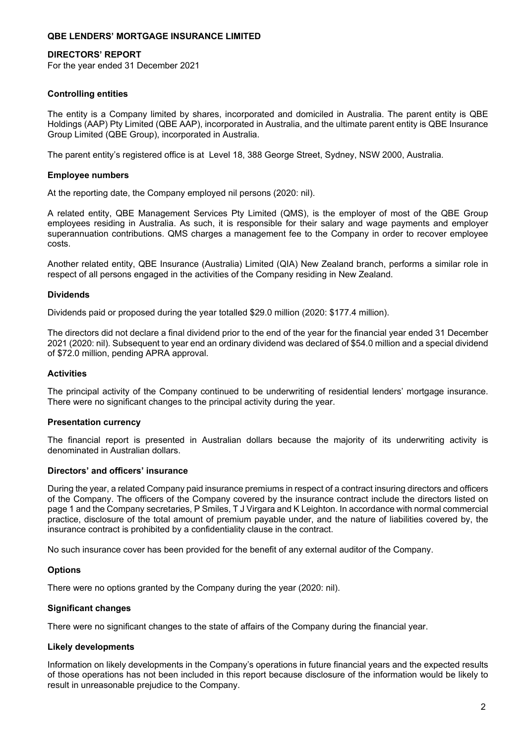#### **DIRECTORS' REPORT**

For the year ended 31 December 2021

### **Controlling entities**

The entity is a Company limited by shares, incorporated and domiciled in Australia. The parent entity is QBE Holdings (AAP) Pty Limited (QBE AAP), incorporated in Australia, and the ultimate parent entity is QBE Insurance Group Limited (QBE Group), incorporated in Australia.

The parent entity's registered office is at Level 18, 388 George Street, Sydney, NSW 2000, Australia.

### **Employee numbers**

At the reporting date, the Company employed nil persons (2020: nil).

A related entity, QBE Management Services Pty Limited (QMS), is the employer of most of the QBE Group employees residing in Australia. As such, it is responsible for their salary and wage payments and employer superannuation contributions. QMS charges a management fee to the Company in order to recover employee costs.

Another related entity, QBE Insurance (Australia) Limited (QIA) New Zealand branch, performs a similar role in respect of all persons engaged in the activities of the Company residing in New Zealand.

#### **Dividends**

Dividends paid or proposed during the year totalled \$29.0 million (2020: \$177.4 million).

The directors did not declare a final dividend prior to the end of the year for the financial year ended 31 December 2021 (2020: nil). Subsequent to year end an ordinary dividend was declared of \$54.0 million and a special dividend of \$72.0 million, pending APRA approval.

#### **Activities**

The principal activity of the Company continued to be underwriting of residential lenders' mortgage insurance. There were no significant changes to the principal activity during the year.

### **Presentation currency**

The financial report is presented in Australian dollars because the majority of its underwriting activity is denominated in Australian dollars.

#### **Directors' and officers' insurance**

During the year, a related Company paid insurance premiums in respect of a contract insuring directors and officers of the Company. The officers of the Company covered by the insurance contract include the directors listed on page 1 and the Company secretaries, P Smiles, T J Virgara and K Leighton. In accordance with normal commercial practice, disclosure of the total amount of premium payable under, and the nature of liabilities covered by, the insurance contract is prohibited by a confidentiality clause in the contract.

No such insurance cover has been provided for the benefit of any external auditor of the Company.

#### **Options**

There were no options granted by the Company during the year (2020: nil).

#### **Significant changes**

There were no significant changes to the state of affairs of the Company during the financial year.

#### **Likely developments**

Information on likely developments in the Company's operations in future financial years and the expected results of those operations has not been included in this report because disclosure of the information would be likely to result in unreasonable prejudice to the Company.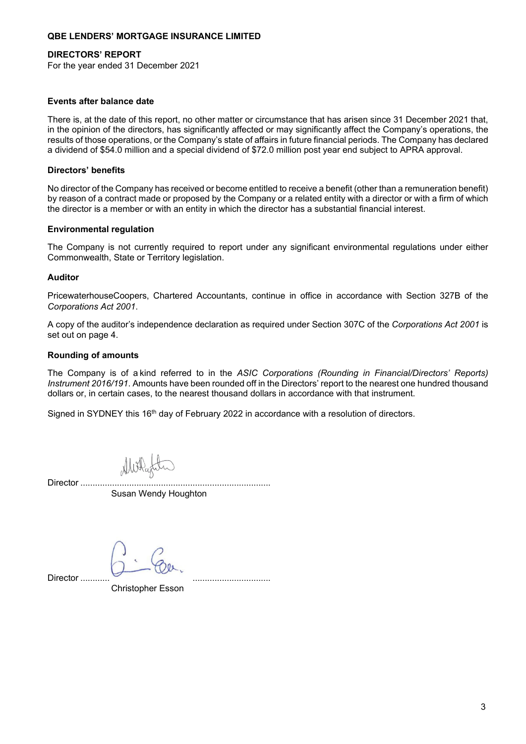### **DIRECTORS' REPORT**

For the year ended 31 December 2021

#### **Events after balance date**

There is, at the date of this report, no other matter or circumstance that has arisen since 31 December 2021 that, in the opinion of the directors, has significantly affected or may significantly affect the Company's operations, the results of those operations, or the Company's state of affairs in future financial periods. The Company has declared a dividend of \$54.0 million and a special dividend of \$72.0 million post year end subject to APRA approval.

#### **Directors' benefits**

No director of the Company has received or become entitled to receive a benefit (other than a remuneration benefit) by reason of a contract made or proposed by the Company or a related entity with a director or with a firm of which the director is a member or with an entity in which the director has a substantial financial interest.

#### **Environmental regulation**

The Company is not currently required to report under any significant environmental regulations under either Commonwealth, State or Territory legislation.

#### **Auditor**

PricewaterhouseCoopers, Chartered Accountants, continue in office in accordance with Section 327B of the *Corporations Act 2001*.

A copy of the auditor's independence declaration as required under Section 307C of the *Corporations Act 2001* is set out on page 4.

#### **Rounding of amounts**

The Company is of a kind referred to in the *ASIC Corporations (Rounding in Financial/Directors' Reports) Instrument 2016/191*. Amounts have been rounded off in the Directors' report to the nearest one hundred thousand dollars or, in certain cases, to the nearest thousand dollars in accordance with that instrument.

Signed in SYDNEY this 16<sup>th</sup> day of February 2022 in accordance with a resolution of directors.

Director ...............

Susan Wendy Houghton

Director ..........

Christopher Esson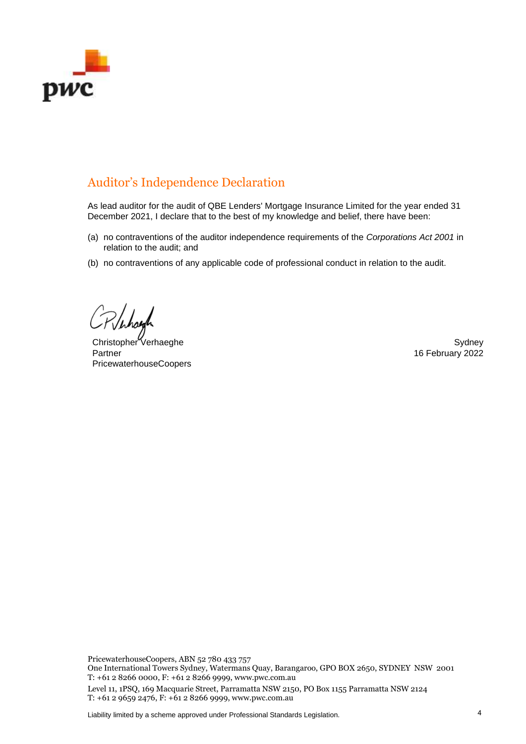

# Auditor's Independence Declaration

As lead auditor for the audit of QBE Lenders' Mortgage Insurance Limited for the year ended 31 December 2021, I declare that to the best of my knowledge and belief, there have been:

- (a) no contraventions of the auditor independence requirements of the *Corporations Act 2001* in relation to the audit; and
- (b) no contraventions of any applicable code of professional conduct in relation to the audit.

christopher Verhaeghe Sydney Sydney Sydney Sydney Sydney Sydney Sydney Sydney Sydney Sydney Sydney Sydney Sydney Partner PricewaterhouseCoopers

16 February 2022

PricewaterhouseCoopers, ABN 52 780 433 757

One International Towers Sydney, Watermans Quay, Barangaroo, GPO BOX 2650, SYDNEY NSW 2001 T: +61 2 8266 0000, F: +61 2 8266 9999, www.pwc.com.au

Level 11, 1PSQ, 169 Macquarie Street, Parramatta NSW 2150, PO Box 1155 Parramatta NSW 2124 T: +61 2 9659 2476, F: +61 2 8266 9999, www.pwc.com.au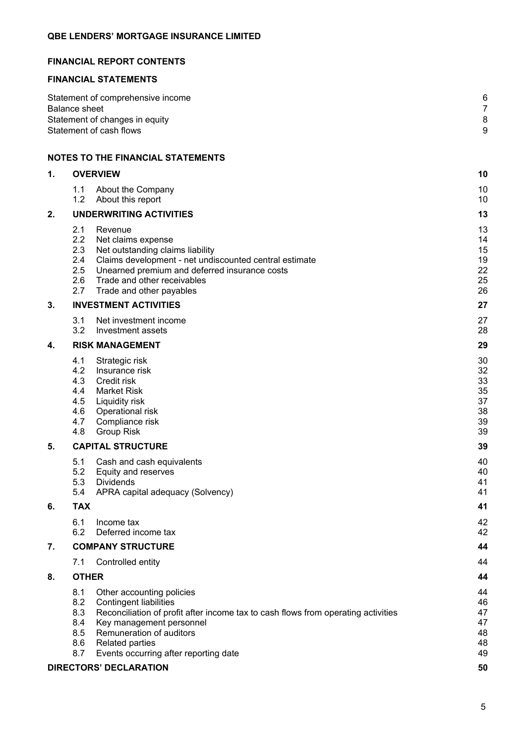## **FINANCIAL REPORT CONTENTS**

### **FINANCIAL STATEMENTS**

| Statement of comprehensive income | 6        |
|-----------------------------------|----------|
| Balance sheet                     |          |
| Statement of changes in equity    | 8        |
| Statement of cash flows           | <u>g</u> |
|                                   |          |

## **NOTES TO THE FINANCIAL STATEMENTS**

| 1. | <b>OVERVIEW</b>                                                                                                                                                                                                                                                                                                             | 10                                           |
|----|-----------------------------------------------------------------------------------------------------------------------------------------------------------------------------------------------------------------------------------------------------------------------------------------------------------------------------|----------------------------------------------|
|    | 1.1<br>About the Company<br>1.2<br>About this report                                                                                                                                                                                                                                                                        | 10<br>10                                     |
| 2. | <b>UNDERWRITING ACTIVITIES</b>                                                                                                                                                                                                                                                                                              | 13                                           |
|    | 2.1<br>Revenue<br>2.2<br>Net claims expense<br>2.3<br>Net outstanding claims liability<br>2.4<br>Claims development - net undiscounted central estimate<br>2.5<br>Unearned premium and deferred insurance costs<br>2.6<br>Trade and other receivables<br>2.7<br>Trade and other payables                                    | 13<br>14<br>15<br>19<br>22<br>25<br>26       |
| 3. | <b>INVESTMENT ACTIVITIES</b>                                                                                                                                                                                                                                                                                                | 27                                           |
|    | 3.1<br>Net investment income<br>3.2<br>Investment assets                                                                                                                                                                                                                                                                    | 27<br>28                                     |
| 4. | <b>RISK MANAGEMENT</b>                                                                                                                                                                                                                                                                                                      | 29                                           |
|    | 4.1<br>Strategic risk<br>4.2<br>Insurance risk<br>4.3<br>Credit risk<br>4.4<br><b>Market Risk</b><br>4.5<br>Liquidity risk<br>4.6<br>Operational risk<br>4.7<br>Compliance risk<br>4.8<br><b>Group Risk</b>                                                                                                                 | 30<br>32<br>33<br>35<br>37<br>38<br>39<br>39 |
| 5. | <b>CAPITAL STRUCTURE</b>                                                                                                                                                                                                                                                                                                    | 39                                           |
|    | 5.1<br>Cash and cash equivalents<br>5.2<br>Equity and reserves<br>5.3<br><b>Dividends</b><br>5.4<br>APRA capital adequacy (Solvency)                                                                                                                                                                                        | 40<br>40<br>41<br>41                         |
| 6. | <b>TAX</b>                                                                                                                                                                                                                                                                                                                  | 41                                           |
|    | 6.1<br>Income tax<br>6.2<br>Deferred income tax                                                                                                                                                                                                                                                                             | 42<br>42                                     |
| 7. | <b>COMPANY STRUCTURE</b>                                                                                                                                                                                                                                                                                                    | 44                                           |
|    | 7.1 Controlled entity                                                                                                                                                                                                                                                                                                       | 44                                           |
| 8. | <b>OTHER</b>                                                                                                                                                                                                                                                                                                                | 44                                           |
|    | 8.1<br>Other accounting policies<br>8.2<br><b>Contingent liabilities</b><br>8.3<br>Reconciliation of profit after income tax to cash flows from operating activities<br>Key management personnel<br>8.4<br>8.5<br>Remuneration of auditors<br><b>Related parties</b><br>8.6<br>Events occurring after reporting date<br>8.7 | 44<br>46<br>47<br>47<br>48<br>48<br>49       |
|    | <b>DIRECTORS' DECLARATION</b>                                                                                                                                                                                                                                                                                               | 50                                           |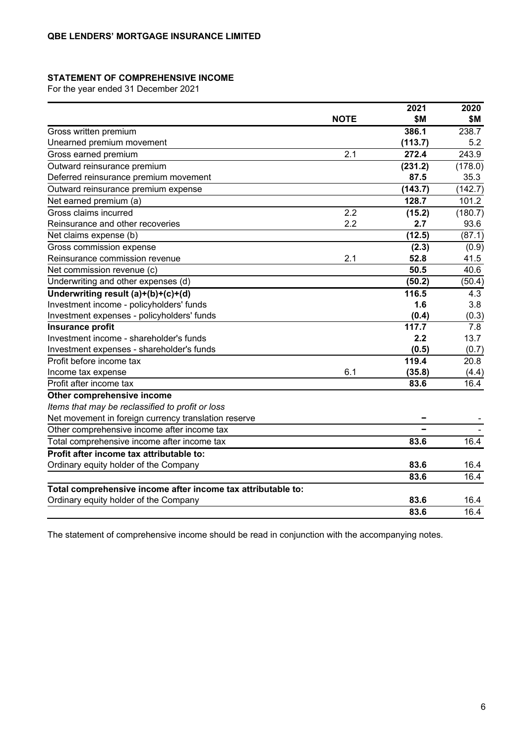### **STATEMENT OF COMPREHENSIVE INCOME**

For the year ended 31 December 2021

|                                                              |             | 2021    | 2020    |
|--------------------------------------------------------------|-------------|---------|---------|
|                                                              | <b>NOTE</b> | \$M     | \$Μ     |
| Gross written premium                                        |             | 386.1   | 238.7   |
| Unearned premium movement                                    |             | (113.7) | 5.2     |
| Gross earned premium                                         | 2.1         | 272.4   | 243.9   |
| Outward reinsurance premium                                  |             | (231.2) | (178.0) |
| Deferred reinsurance premium movement                        |             | 87.5    | 35.3    |
| Outward reinsurance premium expense                          |             | (143.7) | (142.7) |
| Net earned premium (a)                                       |             | 128.7   | 101.2   |
| Gross claims incurred                                        | 2.2         | (15.2)  | (180.7) |
| Reinsurance and other recoveries                             | 2.2         | 2.7     | 93.6    |
| Net claims expense (b)                                       |             | (12.5)  | (87.1)  |
| Gross commission expense                                     |             | (2.3)   | (0.9)   |
| Reinsurance commission revenue                               | 2.1         | 52.8    | 41.5    |
| Net commission revenue (c)                                   |             | 50.5    | 40.6    |
| Underwriting and other expenses (d)                          |             | (50.2)  | (50.4)  |
| Underwriting result (a)+(b)+(c)+(d)                          |             | 116.5   | 4.3     |
| Investment income - policyholders' funds                     |             | 1.6     | 3.8     |
| Investment expenses - policyholders' funds                   |             | (0.4)   | (0.3)   |
| <b>Insurance profit</b>                                      |             | 117.7   | 7.8     |
| Investment income - shareholder's funds                      |             | 2.2     | 13.7    |
| Investment expenses - shareholder's funds                    |             | (0.5)   | (0.7)   |
| Profit before income tax                                     |             | 119.4   | 20.8    |
| Income tax expense                                           | 6.1         | (35.8)  | (4.4)   |
| Profit after income tax                                      |             | 83.6    | 16.4    |
| Other comprehensive income                                   |             |         |         |
| Items that may be reclassified to profit or loss             |             |         |         |
| Net movement in foreign currency translation reserve         |             |         |         |
| Other comprehensive income after income tax                  |             |         |         |
| Total comprehensive income after income tax                  |             | 83.6    | 16.4    |
| Profit after income tax attributable to:                     |             |         |         |
| Ordinary equity holder of the Company                        |             | 83.6    | 16.4    |
|                                                              |             | 83.6    | 16.4    |
| Total comprehensive income after income tax attributable to: |             |         |         |
| Ordinary equity holder of the Company                        |             | 83.6    | 16.4    |
|                                                              |             | 83.6    | 16.4    |

The statement of comprehensive income should be read in conjunction with the accompanying notes.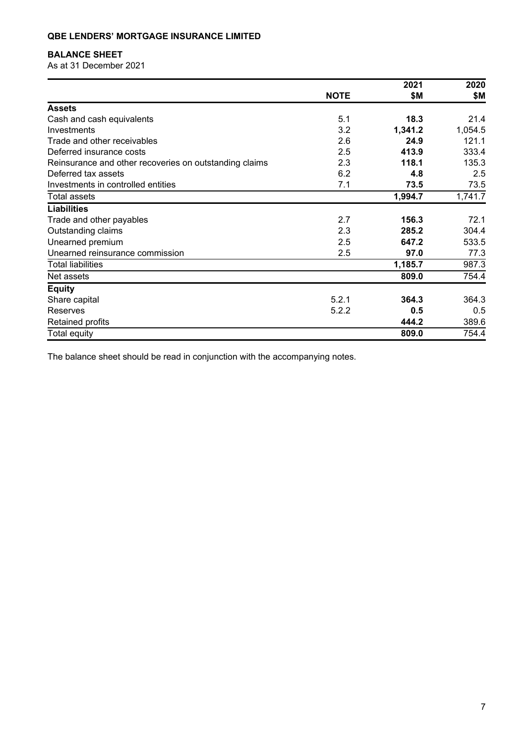## **BALANCE SHEET**

As at 31 December 2021

|                                                        |             | 2021    | 2020    |
|--------------------------------------------------------|-------------|---------|---------|
|                                                        | <b>NOTE</b> | \$Μ     | \$Μ     |
| <b>Assets</b>                                          |             |         |         |
| Cash and cash equivalents                              | 5.1         | 18.3    | 21.4    |
| Investments                                            | 3.2         | 1,341.2 | 1,054.5 |
| Trade and other receivables                            | 2.6         | 24.9    | 121.1   |
| Deferred insurance costs                               | 2.5         | 413.9   | 333.4   |
| Reinsurance and other recoveries on outstanding claims | 2.3         | 118.1   | 135.3   |
| Deferred tax assets                                    | 6.2         | 4.8     | 2.5     |
| Investments in controlled entities                     | 7.1         | 73.5    | 73.5    |
| <b>Total assets</b>                                    |             | 1,994.7 | 1,741.7 |
| <b>Liabilities</b>                                     |             |         |         |
| Trade and other payables                               | 2.7         | 156.3   | 72.1    |
| Outstanding claims                                     | 2.3         | 285.2   | 304.4   |
| Unearned premium                                       | 2.5         | 647.2   | 533.5   |
| Unearned reinsurance commission                        | 2.5         | 97.0    | 77.3    |
| <b>Total liabilities</b>                               |             | 1,185.7 | 987.3   |
| Net assets                                             |             | 809.0   | 754.4   |
| <b>Equity</b>                                          |             |         |         |
| Share capital                                          | 5.2.1       | 364.3   | 364.3   |
| <b>Reserves</b>                                        | 5.2.2       | 0.5     | 0.5     |
| <b>Retained profits</b>                                |             | 444.2   | 389.6   |
| Total equity                                           |             | 809.0   | 754.4   |

The balance sheet should be read in conjunction with the accompanying notes.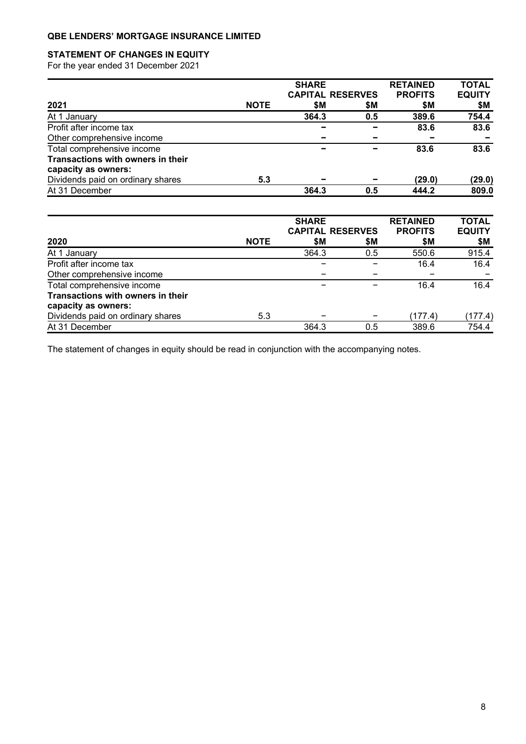## **STATEMENT OF CHANGES IN EQUITY**

For the year ended 31 December 2021

|                                   | <b>SHARE</b> |                         |     | <b>RETAINED</b> | <b>TOTAL</b>  |
|-----------------------------------|--------------|-------------------------|-----|-----------------|---------------|
|                                   |              | <b>CAPITAL RESERVES</b> |     | <b>PROFITS</b>  | <b>EQUITY</b> |
| 2021                              | <b>NOTE</b>  | \$M                     | \$Μ | \$M             | \$Μ           |
| At 1 January                      |              | 364.3                   | 0.5 | 389.6           | 754.4         |
| Profit after income tax           |              |                         |     | 83.6            | 83.6          |
| Other comprehensive income        |              |                         |     |                 |               |
| Total comprehensive income        |              |                         |     | 83.6            | 83.6          |
| Transactions with owners in their |              |                         |     |                 |               |
| capacity as owners:               |              |                         |     |                 |               |
| Dividends paid on ordinary shares | 5.3          |                         |     | (29.0)          | (29.0)        |
| At 31 December                    |              | 364.3                   | 0.5 | 444.2           | 809.0         |

|                                   |             | <b>SHARE</b><br><b>CAPITAL RESERVES</b> |     | <b>RETAINED</b><br><b>PROFITS</b> | <b>TOTAL</b><br><b>EQUITY</b> |
|-----------------------------------|-------------|-----------------------------------------|-----|-----------------------------------|-------------------------------|
| 2020                              | <b>NOTE</b> | \$Μ                                     | \$М | \$Μ                               | \$Μ                           |
| At 1 January                      |             | 364.3                                   | 0.5 | 550.6                             | 915.4                         |
| Profit after income tax           |             |                                         |     | 16.4                              | 16.4                          |
| Other comprehensive income        |             |                                         |     |                                   |                               |
| Total comprehensive income        |             |                                         |     | 16.4                              | 16.4                          |
| Transactions with owners in their |             |                                         |     |                                   |                               |
| capacity as owners:               |             |                                         |     |                                   |                               |
| Dividends paid on ordinary shares | 5.3         |                                         |     | (177.4)                           | (177.4)                       |
| At 31 December                    |             | 364.3                                   | 0.5 | 389.6                             | 754.4                         |

The statement of changes in equity should be read in conjunction with the accompanying notes.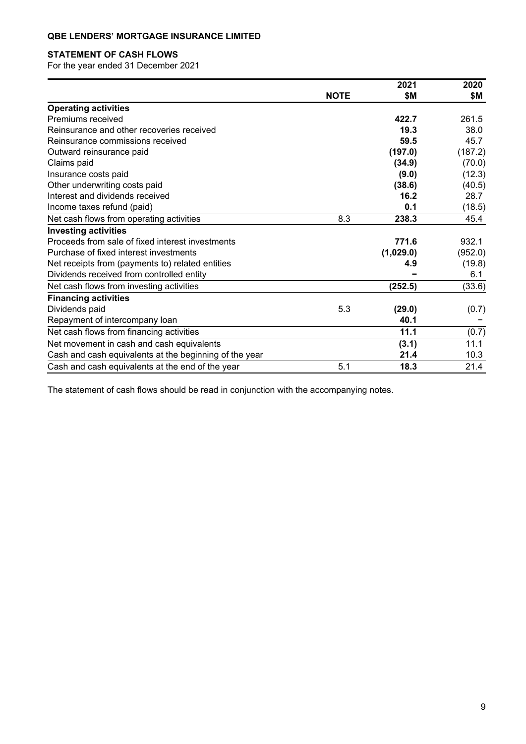## **STATEMENT OF CASH FLOWS**

For the year ended 31 December 2021

|                                                        |             | 2021      | 2020    |
|--------------------------------------------------------|-------------|-----------|---------|
|                                                        | <b>NOTE</b> | \$Μ       | \$М     |
| <b>Operating activities</b>                            |             |           |         |
| Premiums received                                      |             | 422.7     | 261.5   |
| Reinsurance and other recoveries received              |             | 19.3      | 38.0    |
| Reinsurance commissions received                       |             | 59.5      | 45.7    |
| Outward reinsurance paid                               |             | (197.0)   | (187.2) |
| Claims paid                                            |             | (34.9)    | (70.0)  |
| Insurance costs paid                                   |             | (9.0)     | (12.3)  |
| Other underwriting costs paid                          |             | (38.6)    | (40.5)  |
| Interest and dividends received                        |             | 16.2      | 28.7    |
| Income taxes refund (paid)                             |             | 0.1       | (18.5)  |
| Net cash flows from operating activities               | 8.3         | 238.3     | 45.4    |
| <b>Investing activities</b>                            |             |           |         |
| Proceeds from sale of fixed interest investments       |             | 771.6     | 932.1   |
| Purchase of fixed interest investments                 |             | (1,029.0) | (952.0) |
| Net receipts from (payments to) related entities       |             | 4.9       | (19.8)  |
| Dividends received from controlled entity              |             |           | 6.1     |
| Net cash flows from investing activities               |             | (252.5)   | (33.6)  |
| <b>Financing activities</b>                            |             |           |         |
| Dividends paid                                         | 5.3         | (29.0)    | (0.7)   |
| Repayment of intercompany loan                         |             | 40.1      |         |
| Net cash flows from financing activities               |             | 11.1      | (0.7)   |
| Net movement in cash and cash equivalents              |             | (3.1)     | 11.1    |
| Cash and cash equivalents at the beginning of the year |             | 21.4      | 10.3    |
| Cash and cash equivalents at the end of the year       | 5.1         | 18.3      | 21.4    |

The statement of cash flows should be read in conjunction with the accompanying notes.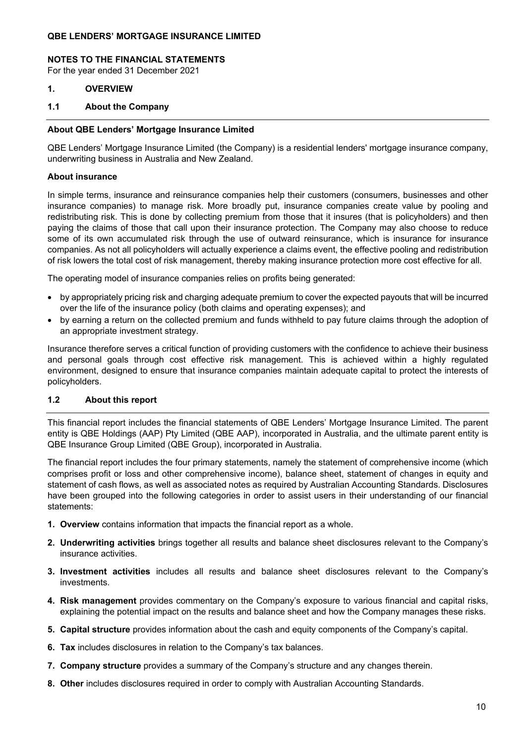#### **NOTES TO THE FINANCIAL STATEMENTS**

For the year ended 31 December 2021

- **1. OVERVIEW**
- **1.1 About the Company**

#### **About QBE Lenders' Mortgage Insurance Limited**

QBE Lenders' Mortgage Insurance Limited (the Company) is a residential lenders' mortgage insurance company, underwriting business in Australia and New Zealand.

### **About insurance**

In simple terms, insurance and reinsurance companies help their customers (consumers, businesses and other insurance companies) to manage risk. More broadly put, insurance companies create value by pooling and redistributing risk. This is done by collecting premium from those that it insures (that is policyholders) and then paying the claims of those that call upon their insurance protection. The Company may also choose to reduce some of its own accumulated risk through the use of outward reinsurance, which is insurance for insurance companies. As not all policyholders will actually experience a claims event, the effective pooling and redistribution of risk lowers the total cost of risk management, thereby making insurance protection more cost effective for all.

The operating model of insurance companies relies on profits being generated:

- by appropriately pricing risk and charging adequate premium to cover the expected payouts that will be incurred over the life of the insurance policy (both claims and operating expenses); and
- by earning a return on the collected premium and funds withheld to pay future claims through the adoption of an appropriate investment strategy.

Insurance therefore serves a critical function of providing customers with the confidence to achieve their business and personal goals through cost effective risk management. This is achieved within a highly regulated environment, designed to ensure that insurance companies maintain adequate capital to protect the interests of policyholders.

### **1.2 About this report**

This financial report includes the financial statements of QBE Lenders' Mortgage Insurance Limited. The parent entity is QBE Holdings (AAP) Pty Limited (QBE AAP), incorporated in Australia, and the ultimate parent entity is QBE Insurance Group Limited (QBE Group), incorporated in Australia.

The financial report includes the four primary statements, namely the statement of comprehensive income (which comprises profit or loss and other comprehensive income), balance sheet, statement of changes in equity and statement of cash flows, as well as associated notes as required by Australian Accounting Standards. Disclosures have been grouped into the following categories in order to assist users in their understanding of our financial statements:

- **1. Overview** contains information that impacts the financial report as a whole.
- **2. Underwriting activities** brings together all results and balance sheet disclosures relevant to the Company's insurance activities.
- **3. Investment activities** includes all results and balance sheet disclosures relevant to the Company's investments.
- **4. Risk management** provides commentary on the Company's exposure to various financial and capital risks, explaining the potential impact on the results and balance sheet and how the Company manages these risks.
- **5. Capital structure** provides information about the cash and equity components of the Company's capital.
- **6. Tax** includes disclosures in relation to the Company's tax balances.
- **7. Company structure** provides a summary of the Company's structure and any changes therein.
- **8. Other** includes disclosures required in order to comply with Australian Accounting Standards.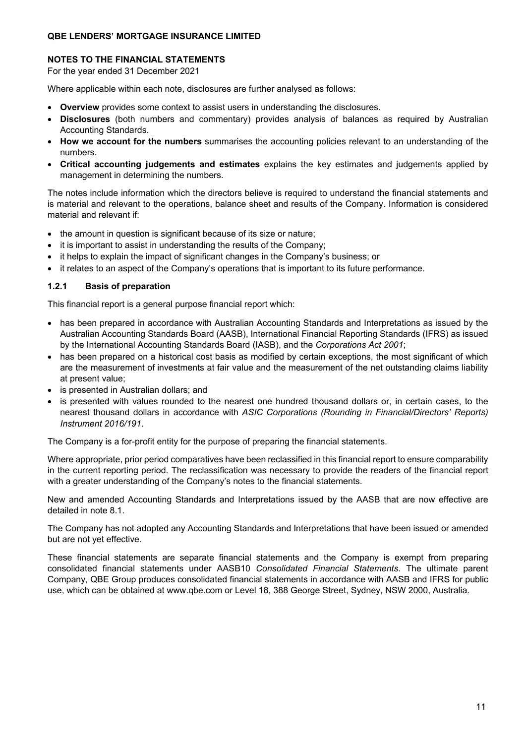### **NOTES TO THE FINANCIAL STATEMENTS**

For the year ended 31 December 2021

Where applicable within each note, disclosures are further analysed as follows:

- **Overview** provides some context to assist users in understanding the disclosures.
- **Disclosures** (both numbers and commentary) provides analysis of balances as required by Australian Accounting Standards.
- **How we account for the numbers** summarises the accounting policies relevant to an understanding of the numbers.
- **Critical accounting judgements and estimates** explains the key estimates and judgements applied by management in determining the numbers.

The notes include information which the directors believe is required to understand the financial statements and is material and relevant to the operations, balance sheet and results of the Company. Information is considered material and relevant if:

- the amount in question is significant because of its size or nature;
- it is important to assist in understanding the results of the Company;
- it helps to explain the impact of significant changes in the Company's business; or
- it relates to an aspect of the Company's operations that is important to its future performance.

### **1.2.1 Basis of preparation**

This financial report is a general purpose financial report which:

- has been prepared in accordance with Australian Accounting Standards and Interpretations as issued by the Australian Accounting Standards Board (AASB), International Financial Reporting Standards (IFRS) as issued by the International Accounting Standards Board (IASB), and the *Corporations Act 2001*;
- has been prepared on a historical cost basis as modified by certain exceptions, the most significant of which are the measurement of investments at fair value and the measurement of the net outstanding claims liability at present value;
- is presented in Australian dollars; and
- is presented with values rounded to the nearest one hundred thousand dollars or, in certain cases, to the nearest thousand dollars in accordance with *ASIC Corporations (Rounding in Financial/Directors' Reports) Instrument 2016/191*.

The Company is a for-profit entity for the purpose of preparing the financial statements.

Where appropriate, prior period comparatives have been reclassified in this financial report to ensure comparability in the current reporting period. The reclassification was necessary to provide the readers of the financial report with a greater understanding of the Company's notes to the financial statements.

New and amended Accounting Standards and Interpretations issued by the AASB that are now effective are detailed in note 8.1.

The Company has not adopted any Accounting Standards and Interpretations that have been issued or amended but are not yet effective.

These financial statements are separate financial statements and the Company is exempt from preparing consolidated financial statements under AASB10 *Consolidated Financial Statements*. The ultimate parent Company, QBE Group produces consolidated financial statements in accordance with AASB and IFRS for public use, which can be obtained at www.qbe.com or Level 18, 388 George Street, Sydney, NSW 2000, Australia.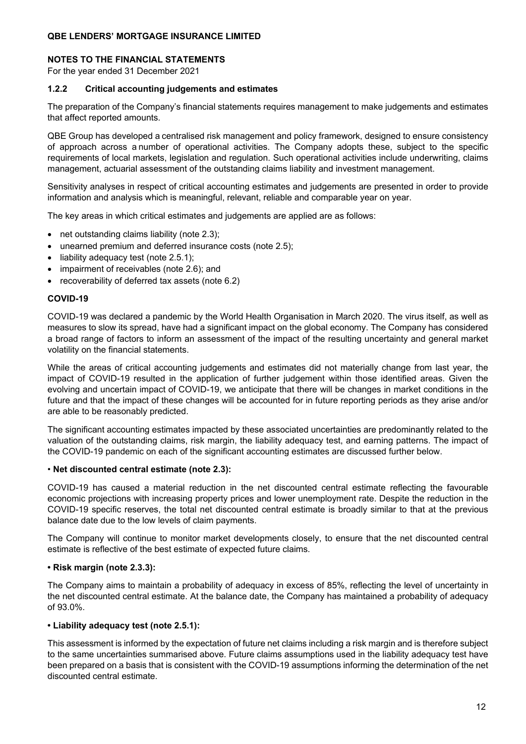#### **NOTES TO THE FINANCIAL STATEMENTS**

For the year ended 31 December 2021

### **1.2.2 Critical accounting judgements and estimates**

The preparation of the Company's financial statements requires management to make judgements and estimates that affect reported amounts.

QBE Group has developed a centralised risk management and policy framework, designed to ensure consistency of approach across a number of operational activities. The Company adopts these, subject to the specific requirements of local markets, legislation and regulation. Such operational activities include underwriting, claims management, actuarial assessment of the outstanding claims liability and investment management.

Sensitivity analyses in respect of critical accounting estimates and judgements are presented in order to provide information and analysis which is meaningful, relevant, reliable and comparable year on year.

The key areas in which critical estimates and judgements are applied are as follows:

- net outstanding claims liability (note 2.3);
- unearned premium and deferred insurance costs (note 2.5);
- liability adequacy test (note 2.5.1);
- impairment of receivables (note 2.6); and
- recoverability of deferred tax assets (note 6.2)

#### **COVID-19**

COVID-19 was declared a pandemic by the World Health Organisation in March 2020. The virus itself, as well as measures to slow its spread, have had a significant impact on the global economy. The Company has considered a broad range of factors to inform an assessment of the impact of the resulting uncertainty and general market volatility on the financial statements.

While the areas of critical accounting judgements and estimates did not materially change from last year, the impact of COVID-19 resulted in the application of further judgement within those identified areas. Given the evolving and uncertain impact of COVID-19, we anticipate that there will be changes in market conditions in the future and that the impact of these changes will be accounted for in future reporting periods as they arise and/or are able to be reasonably predicted.

The significant accounting estimates impacted by these associated uncertainties are predominantly related to the valuation of the outstanding claims, risk margin, the liability adequacy test, and earning patterns. The impact of the COVID-19 pandemic on each of the significant accounting estimates are discussed further below.

#### • **Net discounted central estimate (note 2.3):**

COVID-19 has caused a material reduction in the net discounted central estimate reflecting the favourable economic projections with increasing property prices and lower unemployment rate. Despite the reduction in the COVID-19 specific reserves, the total net discounted central estimate is broadly similar to that at the previous balance date due to the low levels of claim payments.

The Company will continue to monitor market developments closely, to ensure that the net discounted central estimate is reflective of the best estimate of expected future claims.

#### **• Risk margin (note 2.3.3):**

The Company aims to maintain a probability of adequacy in excess of 85%, reflecting the level of uncertainty in the net discounted central estimate. At the balance date, the Company has maintained a probability of adequacy of 93.0%.

#### **• Liability adequacy test (note 2.5.1):**

This assessment is informed by the expectation of future net claims including a risk margin and is therefore subject to the same uncertainties summarised above. Future claims assumptions used in the liability adequacy test have been prepared on a basis that is consistent with the COVID-19 assumptions informing the determination of the net discounted central estimate.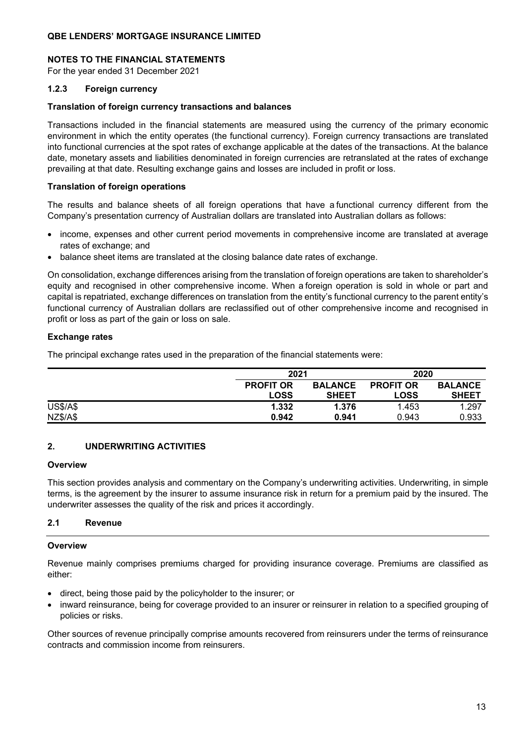### **NOTES TO THE FINANCIAL STATEMENTS**

For the year ended 31 December 2021

### **1.2.3 Foreign currency**

#### **Translation of foreign currency transactions and balances**

Transactions included in the financial statements are measured using the currency of the primary economic environment in which the entity operates (the functional currency). Foreign currency transactions are translated into functional currencies at the spot rates of exchange applicable at the dates of the transactions. At the balance date, monetary assets and liabilities denominated in foreign currencies are retranslated at the rates of exchange prevailing at that date. Resulting exchange gains and losses are included in profit or loss.

#### **Translation of foreign operations**

The results and balance sheets of all foreign operations that have a functional currency different from the Company's presentation currency of Australian dollars are translated into Australian dollars as follows:

- income, expenses and other current period movements in comprehensive income are translated at average rates of exchange; and
- balance sheet items are translated at the closing balance date rates of exchange.

On consolidation, exchange differences arising from the translation of foreign operations are taken to shareholder's equity and recognised in other comprehensive income. When a foreign operation is sold in whole or part and capital is repatriated, exchange differences on translation from the entity's functional currency to the parent entity's functional currency of Australian dollars are reclassified out of other comprehensive income and recognised in profit or loss as part of the gain or loss on sale.

### **Exchange rates**

The principal exchange rates used in the preparation of the financial statements were:

|                 |                  | 2021           |                  | 2020           |
|-----------------|------------------|----------------|------------------|----------------|
|                 | <b>PROFIT OR</b> | <b>BALANCE</b> | <b>PROFIT OR</b> | <b>BALANCE</b> |
|                 | <b>LOSS</b>      | <b>SHEET</b>   | <b>LOSS</b>      | <b>SHEET</b>   |
| <b>US\$/A\$</b> | 1.332            | 1.376          | 1.453            | 1.297          |
| <b>NZ\$/A\$</b> | 0.942            | 0.941          | 0.943            | 0.933          |

### **2. UNDERWRITING ACTIVITIES**

#### **Overview**

This section provides analysis and commentary on the Company's underwriting activities. Underwriting, in simple terms, is the agreement by the insurer to assume insurance risk in return for a premium paid by the insured. The underwriter assesses the quality of the risk and prices it accordingly.

### **2.1 Revenue**

### **Overview**

Revenue mainly comprises premiums charged for providing insurance coverage. Premiums are classified as either:

- direct, being those paid by the policyholder to the insurer; or
- inward reinsurance, being for coverage provided to an insurer or reinsurer in relation to a specified grouping of policies or risks.

Other sources of revenue principally comprise amounts recovered from reinsurers under the terms of reinsurance contracts and commission income from reinsurers.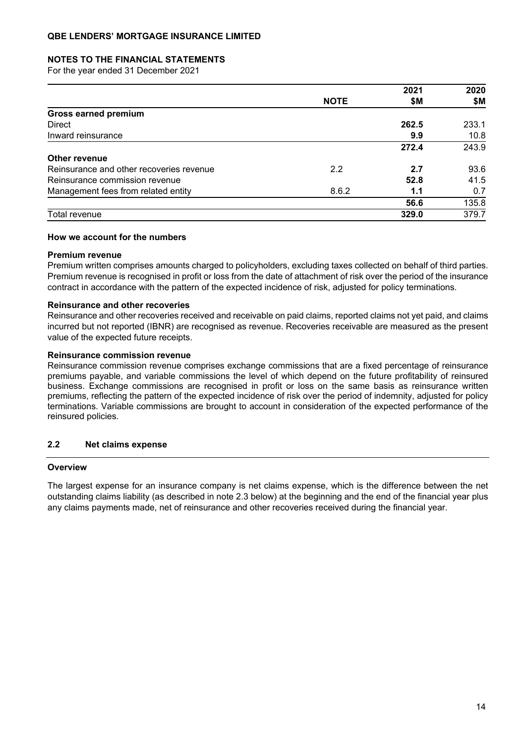#### **NOTES TO THE FINANCIAL STATEMENTS**

For the year ended 31 December 2021

|                                          |             | 2021  | 2020  |
|------------------------------------------|-------------|-------|-------|
|                                          | <b>NOTE</b> | \$Μ   | \$Μ   |
| <b>Gross earned premium</b>              |             |       |       |
| <b>Direct</b>                            |             | 262.5 | 233.1 |
| Inward reinsurance                       |             | 9.9   | 10.8  |
|                                          |             | 272.4 | 243.9 |
| <b>Other revenue</b>                     |             |       |       |
| Reinsurance and other recoveries revenue | 2.2         | 2.7   | 93.6  |
| Reinsurance commission revenue           |             | 52.8  | 41.5  |
| Management fees from related entity      | 8.6.2       | 1.1   | 0.7   |
|                                          |             | 56.6  | 135.8 |
| Total revenue                            |             | 329.0 | 379.7 |

#### **How we account for the numbers**

#### **Premium revenue**

Premium written comprises amounts charged to policyholders, excluding taxes collected on behalf of third parties. Premium revenue is recognised in profit or loss from the date of attachment of risk over the period of the insurance contract in accordance with the pattern of the expected incidence of risk, adjusted for policy terminations.

### **Reinsurance and other recoveries**

Reinsurance and other recoveries received and receivable on paid claims, reported claims not yet paid, and claims incurred but not reported (IBNR) are recognised as revenue. Recoveries receivable are measured as the present value of the expected future receipts.

#### **Reinsurance commission revenue**

Reinsurance commission revenue comprises exchange commissions that are a fixed percentage of reinsurance premiums payable, and variable commissions the level of which depend on the future profitability of reinsured business. Exchange commissions are recognised in profit or loss on the same basis as reinsurance written premiums, reflecting the pattern of the expected incidence of risk over the period of indemnity, adjusted for policy terminations. Variable commissions are brought to account in consideration of the expected performance of the reinsured policies.

#### **2.2 Net claims expense**

#### **Overview**

The largest expense for an insurance company is net claims expense, which is the difference between the net outstanding claims liability (as described in note 2.3 below) at the beginning and the end of the financial year plus any claims payments made, net of reinsurance and other recoveries received during the financial year.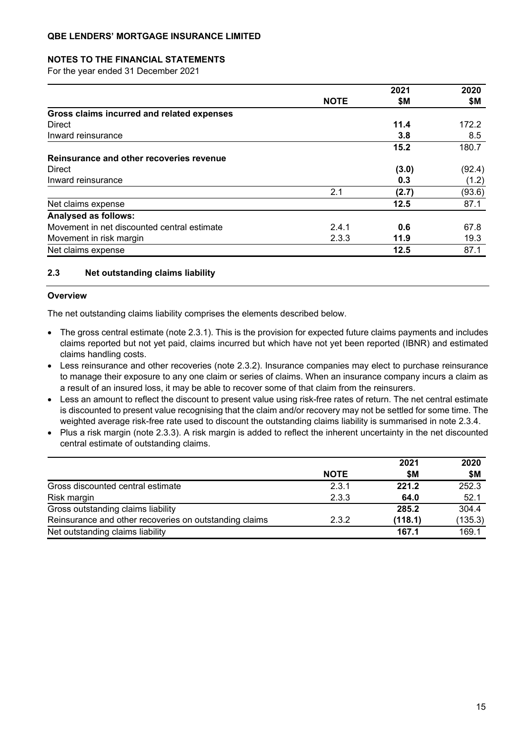### **NOTES TO THE FINANCIAL STATEMENTS**

For the year ended 31 December 2021

|                                             |             | 2021  | 2020   |
|---------------------------------------------|-------------|-------|--------|
|                                             | <b>NOTE</b> | \$M   | \$Μ    |
| Gross claims incurred and related expenses  |             |       |        |
| <b>Direct</b>                               |             | 11.4  | 172.2  |
| Inward reinsurance                          |             | 3.8   | 8.5    |
|                                             |             | 15.2  | 180.7  |
| Reinsurance and other recoveries revenue    |             |       |        |
| Direct                                      |             | (3.0) | (92.4) |
| Inward reinsurance                          |             | 0.3   | (1.2)  |
|                                             | 2.1         | (2.7) | (93.6) |
| Net claims expense                          |             | 12.5  | 87.1   |
| Analysed as follows:                        |             |       |        |
| Movement in net discounted central estimate | 2.4.1       | 0.6   | 67.8   |
| Movement in risk margin                     | 2.3.3       | 11.9  | 19.3   |
| Net claims expense                          |             | 12.5  | 87.1   |

### **2.3 Net outstanding claims liability**

#### **Overview**

The net outstanding claims liability comprises the elements described below.

- The gross central estimate (note 2.3.1). This is the provision for expected future claims payments and includes claims reported but not yet paid, claims incurred but which have not yet been reported (IBNR) and estimated claims handling costs.
- Less reinsurance and other recoveries (note 2.3.2). Insurance companies may elect to purchase reinsurance to manage their exposure to any one claim or series of claims. When an insurance company incurs a claim as a result of an insured loss, it may be able to recover some of that claim from the reinsurers.
- Less an amount to reflect the discount to present value using risk-free rates of return. The net central estimate is discounted to present value recognising that the claim and/or recovery may not be settled for some time. The weighted average risk-free rate used to discount the outstanding claims liability is summarised in note 2.3.4.
- Plus a risk margin (note 2.3.3). A risk margin is added to reflect the inherent uncertainty in the net discounted central estimate of outstanding claims.

|                                                        |             | 2021    | 2020    |
|--------------------------------------------------------|-------------|---------|---------|
|                                                        | <b>NOTE</b> | \$M     | \$M     |
| Gross discounted central estimate                      | 2.3.1       | 221.2   | 252.3   |
| Risk margin                                            | 2.3.3       | 64.0    | 52.1    |
| Gross outstanding claims liability                     |             | 285.2   | 304.4   |
| Reinsurance and other recoveries on outstanding claims | 2.3.2       | (118.1) | (135.3) |
| Net outstanding claims liability                       |             | 167.1   | 169.1   |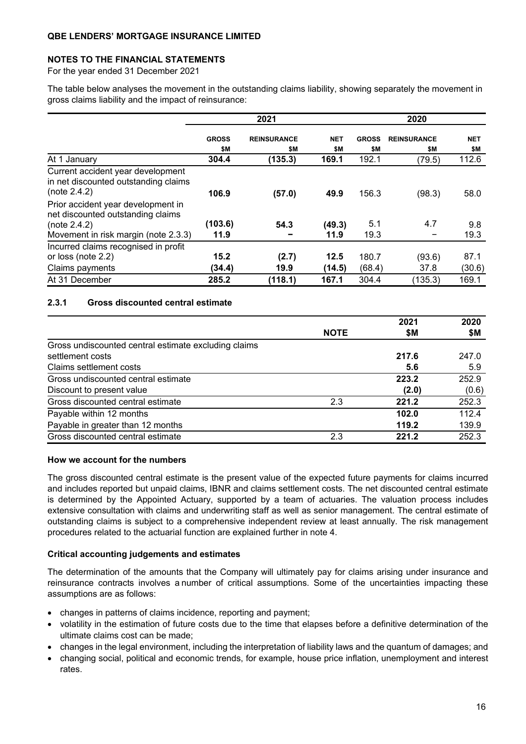### **NOTES TO THE FINANCIAL STATEMENTS**

For the year ended 31 December 2021

The table below analyses the movement in the outstanding claims liability, showing separately the movement in gross claims liability and the impact of reinsurance:

|                                                                                           | 2021                |                           |                   | 2020                |                           |                   |  |
|-------------------------------------------------------------------------------------------|---------------------|---------------------------|-------------------|---------------------|---------------------------|-------------------|--|
|                                                                                           | <b>GROSS</b><br>\$Μ | <b>REINSURANCE</b><br>\$M | <b>NET</b><br>\$Μ | <b>GROSS</b><br>\$Μ | <b>REINSURANCE</b><br>\$Μ | <b>NET</b><br>\$Μ |  |
| At 1 January                                                                              | 304.4               | (135.3)                   | 169.1             | 192.1               | (79.5)                    | 112.6             |  |
| Current accident year development<br>in net discounted outstanding claims<br>(note 2.4.2) | 106.9               | (57.0)                    | 49.9              | 156.3               | (98.3)                    | 58.0              |  |
| Prior accident year development in<br>net discounted outstanding claims<br>(note 2.4.2)   | (103.6)             | 54.3                      | (49.3)            | 5.1                 | 4.7                       | 9.8               |  |
| Movement in risk margin (note 2.3.3)                                                      | 11.9                |                           | 11.9              | 19.3                |                           | 19.3              |  |
| Incurred claims recognised in profit                                                      |                     |                           |                   |                     |                           |                   |  |
| or loss (note 2.2)                                                                        | 15.2                | (2.7)                     | 12.5              | 180.7               | (93.6)                    | 87.1              |  |
| Claims payments                                                                           | (34.4)              | 19.9                      | (14.5)            | (68.4)              | 37.8                      | (30.6)            |  |
| At 31 December                                                                            | 285.2               | (118.1)                   | 167.1             | 304.4               | (135.3)                   | 169.1             |  |

### **2.3.1 Gross discounted central estimate**

|                                                      |             | 2021  | 2020  |
|------------------------------------------------------|-------------|-------|-------|
|                                                      | <b>NOTE</b> | \$M   | \$Μ   |
| Gross undiscounted central estimate excluding claims |             |       |       |
| settlement costs                                     |             | 217.6 | 247.0 |
| Claims settlement costs                              |             | 5.6   | 5.9   |
| Gross undiscounted central estimate                  |             | 223.2 | 252.9 |
| Discount to present value                            |             | (2.0) | (0.6) |
| Gross discounted central estimate                    | 2.3         | 221.2 | 252.3 |
| Payable within 12 months                             |             | 102.0 | 112.4 |
| Payable in greater than 12 months                    |             | 119.2 | 139.9 |
| Gross discounted central estimate                    | 2.3         | 221.2 | 252.3 |

#### **How we account for the numbers**

The gross discounted central estimate is the present value of the expected future payments for claims incurred and includes reported but unpaid claims, IBNR and claims settlement costs. The net discounted central estimate is determined by the Appointed Actuary, supported by a team of actuaries. The valuation process includes extensive consultation with claims and underwriting staff as well as senior management. The central estimate of outstanding claims is subject to a comprehensive independent review at least annually. The risk management procedures related to the actuarial function are explained further in note 4.

#### **Critical accounting judgements and estimates**

The determination of the amounts that the Company will ultimately pay for claims arising under insurance and reinsurance contracts involves a number of critical assumptions. Some of the uncertainties impacting these assumptions are as follows:

- changes in patterns of claims incidence, reporting and payment;
- volatility in the estimation of future costs due to the time that elapses before a definitive determination of the ultimate claims cost can be made;
- changes in the legal environment, including the interpretation of liability laws and the quantum of damages; and
- changing social, political and economic trends, for example, house price inflation, unemployment and interest rates.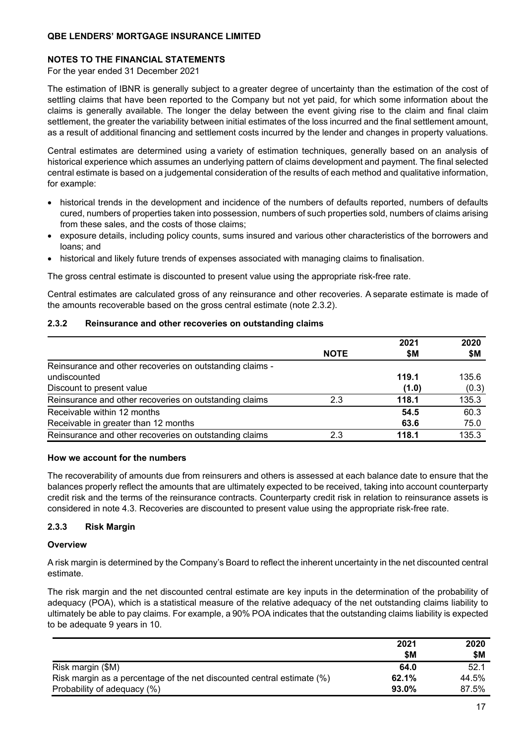### **NOTES TO THE FINANCIAL STATEMENTS**

For the year ended 31 December 2021

The estimation of IBNR is generally subject to a greater degree of uncertainty than the estimation of the cost of settling claims that have been reported to the Company but not yet paid, for which some information about the claims is generally available. The longer the delay between the event giving rise to the claim and final claim settlement, the greater the variability between initial estimates of the loss incurred and the final settlement amount, as a result of additional financing and settlement costs incurred by the lender and changes in property valuations.

Central estimates are determined using a variety of estimation techniques, generally based on an analysis of historical experience which assumes an underlying pattern of claims development and payment. The final selected central estimate is based on a judgemental consideration of the results of each method and qualitative information, for example:

- historical trends in the development and incidence of the numbers of defaults reported, numbers of defaults cured, numbers of properties taken into possession, numbers of such properties sold, numbers of claims arising from these sales, and the costs of those claims;
- exposure details, including policy counts, sums insured and various other characteristics of the borrowers and loans; and
- historical and likely future trends of expenses associated with managing claims to finalisation.

The gross central estimate is discounted to present value using the appropriate risk-free rate.

Central estimates are calculated gross of any reinsurance and other recoveries. A separate estimate is made of the amounts recoverable based on the gross central estimate (note 2.3.2).

### **2.3.2 Reinsurance and other recoveries on outstanding claims**

|                                                          |             | 2021  | 2020  |
|----------------------------------------------------------|-------------|-------|-------|
|                                                          | <b>NOTE</b> | \$Μ   | \$M   |
| Reinsurance and other recoveries on outstanding claims - |             |       |       |
| undiscounted                                             |             | 119.1 | 135.6 |
| Discount to present value                                |             | (1.0) | (0.3) |
| Reinsurance and other recoveries on outstanding claims   | 2.3         | 118.1 | 135.3 |
| Receivable within 12 months                              |             | 54.5  | 60.3  |
| Receivable in greater than 12 months                     |             | 63.6  | 75.0  |
| Reinsurance and other recoveries on outstanding claims   | 2.3         | 118.1 | 135.3 |

### **How we account for the numbers**

The recoverability of amounts due from reinsurers and others is assessed at each balance date to ensure that the balances properly reflect the amounts that are ultimately expected to be received, taking into account counterparty credit risk and the terms of the reinsurance contracts. Counterparty credit risk in relation to reinsurance assets is considered in note 4.3. Recoveries are discounted to present value using the appropriate risk-free rate.

### **2.3.3 Risk Margin**

### **Overview**

A risk margin is determined by the Company's Board to reflect the inherent uncertainty in the net discounted central estimate.

The risk margin and the net discounted central estimate are key inputs in the determination of the probability of adequacy (POA), which is a statistical measure of the relative adequacy of the net outstanding claims liability to ultimately be able to pay claims. For example, a 90% POA indicates that the outstanding claims liability is expected to be adequate 9 years in 10.

|                                                                        | 2021  | 2020  |
|------------------------------------------------------------------------|-------|-------|
|                                                                        | \$M   | \$M   |
| Risk margin (\$M)                                                      | 64.0  | 52.1  |
| Risk margin as a percentage of the net discounted central estimate (%) | 62.1% | 44.5% |
| Probability of adequacy (%)                                            | 93.0% | 87.5% |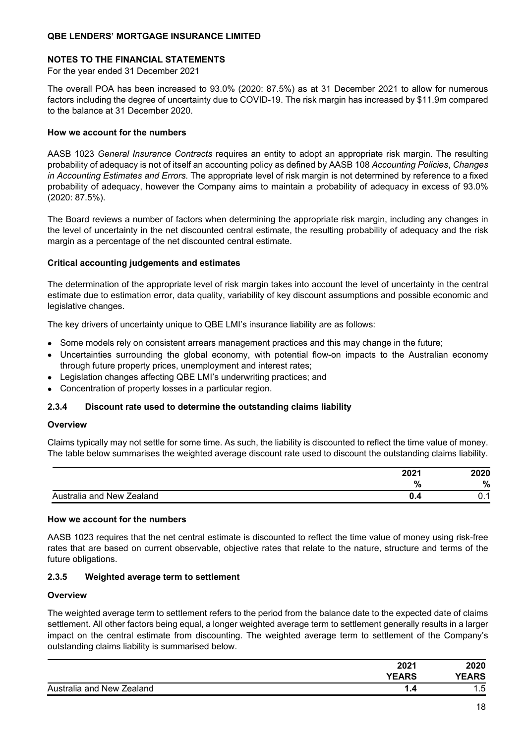### **NOTES TO THE FINANCIAL STATEMENTS**

For the year ended 31 December 2021

The overall POA has been increased to 93.0% (2020: 87.5%) as at 31 December 2021 to allow for numerous factors including the degree of uncertainty due to COVID-19. The risk margin has increased by \$11.9m compared to the balance at 31 December 2020.

### **How we account for the numbers**

AASB 1023 *General Insurance Contracts* requires an entity to adopt an appropriate risk margin. The resulting probability of adequacy is not of itself an accounting policy as defined by AASB 108 *Accounting Policies*, *Changes in Accounting Estimates and Errors*. The appropriate level of risk margin is not determined by reference to a fixed probability of adequacy, however the Company aims to maintain a probability of adequacy in excess of 93.0% (2020: 87.5%).

The Board reviews a number of factors when determining the appropriate risk margin, including any changes in the level of uncertainty in the net discounted central estimate, the resulting probability of adequacy and the risk margin as a percentage of the net discounted central estimate.

#### **Critical accounting judgements and estimates**

The determination of the appropriate level of risk margin takes into account the level of uncertainty in the central estimate due to estimation error, data quality, variability of key discount assumptions and possible economic and legislative changes.

The key drivers of uncertainty unique to QBE LMI's insurance liability are as follows:

- Some models rely on consistent arrears management practices and this may change in the future;
- Uncertainties surrounding the global economy, with potential flow-on impacts to the Australian economy through future property prices, unemployment and interest rates;
- Legislation changes affecting QBE LMI's underwriting practices; and
- Concentration of property losses in a particular region.

### **2.3.4 Discount rate used to determine the outstanding claims liability**

#### **Overview**

Claims typically may not settle for some time. As such, the liability is discounted to reflect the time value of money. The table below summarises the weighted average discount rate used to discount the outstanding claims liability.

| 2021                             | 2020 |
|----------------------------------|------|
| $\mathbf{a}$<br>70               | %    |
| Australia and New Zealand<br>v.- | v.   |

#### **How we account for the numbers**

AASB 1023 requires that the net central estimate is discounted to reflect the time value of money using risk-free rates that are based on current observable, objective rates that relate to the nature, structure and terms of the future obligations.

#### **2.3.5 Weighted average term to settlement**

#### **Overview**

The weighted average term to settlement refers to the period from the balance date to the expected date of claims settlement. All other factors being equal, a longer weighted average term to settlement generally results in a larger impact on the central estimate from discounting. The weighted average term to settlement of the Company's outstanding claims liability is summarised below.

| 2021                      | 2020         |
|---------------------------|--------------|
| <b>YEARS</b>              | <b>YEARS</b> |
| Australia and New Zealand | , 도<br>ں. ו  |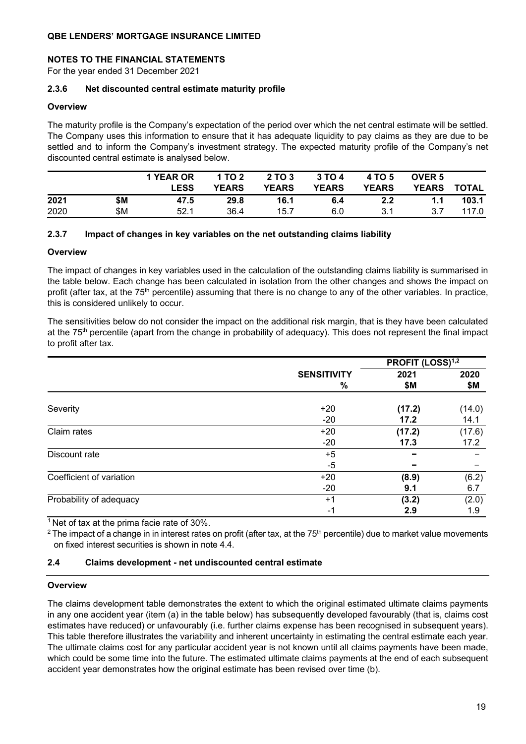### **NOTES TO THE FINANCIAL STATEMENTS**

For the year ended 31 December 2021

### **2.3.6 Net discounted central estimate maturity profile**

#### **Overview**

The maturity profile is the Company's expectation of the period over which the net central estimate will be settled. The Company uses this information to ensure that it has adequate liquidity to pay claims as they are due to be settled and to inform the Company's investment strategy. The expected maturity profile of the Company's net discounted central estimate is analysed below.

|      |     | 1 YEAR OR<br><b>LESS</b> | 1 TO 2<br><b>YEARS</b> | 2 TO 3<br><b>YEARS</b> | 3 TO 4<br><b>YEARS</b> | 4 TO 5<br><b>YEARS</b> | <b>OVER 5</b><br><b>YEARS</b> | <b>TOTAL</b> |
|------|-----|--------------------------|------------------------|------------------------|------------------------|------------------------|-------------------------------|--------------|
| 2021 | \$Μ | 47.5                     | 29.8                   | 16.1                   | 6.4                    | 2.2                    | 1.1                           | 103.1        |
| 2020 | \$Μ | 52.1                     | 36.4                   | 15.7                   | 6.0                    | 3.1                    | 3.7                           | 117.0        |

### **2.3.7 Impact of changes in key variables on the net outstanding claims liability**

#### **Overview**

The impact of changes in key variables used in the calculation of the outstanding claims liability is summarised in the table below. Each change has been calculated in isolation from the other changes and shows the impact on profit (after tax, at the 75<sup>th</sup> percentile) assuming that there is no change to any of the other variables. In practice, this is considered unlikely to occur.

The sensitivities below do not consider the impact on the additional risk margin, that is they have been calculated at the 75th percentile (apart from the change in probability of adequacy). This does not represent the final impact to profit after tax.

| <b>SENSITIVITY</b><br>$\%$ | 2021<br>\$Μ                         | 2020<br>\$М                                                |
|----------------------------|-------------------------------------|------------------------------------------------------------|
| $+20$                      | (17.2)                              | (14.0)                                                     |
| $+20$                      | (17.2)                              | 14.1<br>(17.6)                                             |
| $+5$                       |                                     | 17.2                                                       |
| $+20$                      | (8.9)                               | (6.2)                                                      |
| $+1$                       | (3.2)                               | 6.7<br>(2.0)<br>1.9                                        |
|                            | $-20$<br>$-20$<br>-5<br>$-20$<br>-1 | PROFIT (LOSS) <sup>1,2</sup><br>17.2<br>17.3<br>9.1<br>2.9 |

 $1$  Net of tax at the prima facie rate of 30%.

 $2$  The impact of a change in in interest rates on profit (after tax, at the 75<sup>th</sup> percentile) due to market value movements on fixed interest securities is shown in note 4.4.

### **2.4 Claims development - net undiscounted central estimate**

#### **Overview**

The claims development table demonstrates the extent to which the original estimated ultimate claims payments in any one accident year (item (a) in the table below) has subsequently developed favourably (that is, claims cost estimates have reduced) or unfavourably (i.e. further claims expense has been recognised in subsequent years). This table therefore illustrates the variability and inherent uncertainty in estimating the central estimate each year. The ultimate claims cost for any particular accident year is not known until all claims payments have been made, which could be some time into the future. The estimated ultimate claims payments at the end of each subsequent accident year demonstrates how the original estimate has been revised over time (b).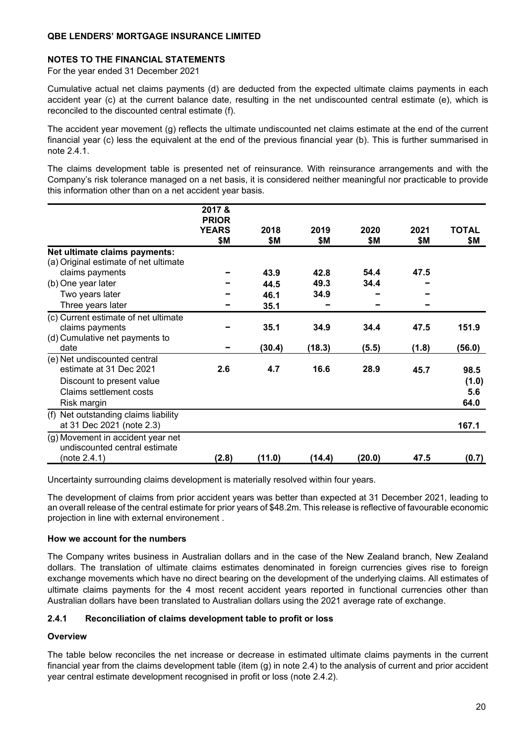### **NOTES TO THE FINANCIAL STATEMENTS**

For the year ended 31 December 2021

Cumulative actual net claims payments (d) are deducted from the expected ultimate claims payments in each accident year (c) at the current balance date, resulting in the net undiscounted central estimate (e), which is reconciled to the discounted central estimate (f).

The accident year movement (g) reflects the ultimate undiscounted net claims estimate at the end of the current financial year (c) less the equivalent at the end of the previous financial year (b). This is further summarised in note 2.4.1.

The claims development table is presented net of reinsurance. With reinsurance arrangements and with the Company's risk tolerance managed on a net basis, it is considered neither meaningful nor practicable to provide this information other than on a net accident year basis.

|                                       | 2017 &                       |        |        |        |       |              |
|---------------------------------------|------------------------------|--------|--------|--------|-------|--------------|
|                                       | <b>PRIOR</b><br><b>YEARS</b> | 2018   | 2019   | 2020   | 2021  | <b>TOTAL</b> |
|                                       | \$Μ                          | \$Μ    | \$M    | \$Μ    | \$Μ   | \$Μ          |
| Net ultimate claims payments:         |                              |        |        |        |       |              |
| (a) Original estimate of net ultimate |                              |        |        |        |       |              |
| claims payments                       |                              | 43.9   | 42.8   | 54.4   | 47.5  |              |
| (b) One year later                    |                              | 44.5   | 49.3   | 34.4   |       |              |
| Two years later                       |                              | 46.1   | 34.9   |        |       |              |
| Three years later                     |                              | 35.1   |        |        |       |              |
| (c) Current estimate of net ultimate  |                              |        |        |        |       |              |
| claims payments                       |                              | 35.1   | 34.9   | 34.4   | 47.5  | 151.9        |
| (d) Cumulative net payments to        |                              |        |        |        |       |              |
| date                                  |                              | (30.4) | (18.3) | (5.5)  | (1.8) | (56.0)       |
| (e) Net undiscounted central          |                              |        |        |        |       |              |
| estimate at 31 Dec 2021               | 2.6                          | 4.7    | 16.6   | 28.9   | 45.7  | 98.5         |
| Discount to present value             |                              |        |        |        |       | (1.0)        |
| Claims settlement costs               |                              |        |        |        |       | 5.6          |
| Risk margin                           |                              |        |        |        |       | 64.0         |
| (f) Net outstanding claims liability  |                              |        |        |        |       |              |
| at 31 Dec 2021 (note 2.3)             |                              |        |        |        |       | 167.1        |
| (g) Movement in accident year net     |                              |        |        |        |       |              |
| undiscounted central estimate         |                              |        |        |        |       |              |
| (note 2.4.1)                          | (2.8)                        | (11.0) | (14.4) | (20.0) | 47.5  | (0.7)        |

Uncertainty surrounding claims development is materially resolved within four years.

The development of claims from prior accident years was better than expected at 31 December 2021, leading to an overall release of the central estimate for prior years of \$48.2m. This release is reflective of favourable economic projection in line with external environement .

### **How we account for the numbers**

The Company writes business in Australian dollars and in the case of the New Zealand branch, New Zealand dollars. The translation of ultimate claims estimates denominated in foreign currencies gives rise to foreign exchange movements which have no direct bearing on the development of the underlying claims. All estimates of ultimate claims payments for the 4 most recent accident years reported in functional currencies other than Australian dollars have been translated to Australian dollars using the 2021 average rate of exchange.

### **2.4.1 Reconciliation of claims development table to profit or loss**

### **Overview**

The table below reconciles the net increase or decrease in estimated ultimate claims payments in the current financial year from the claims development table (item (g) in note 2.4) to the analysis of current and prior accident year central estimate development recognised in profit or loss (note 2.4.2).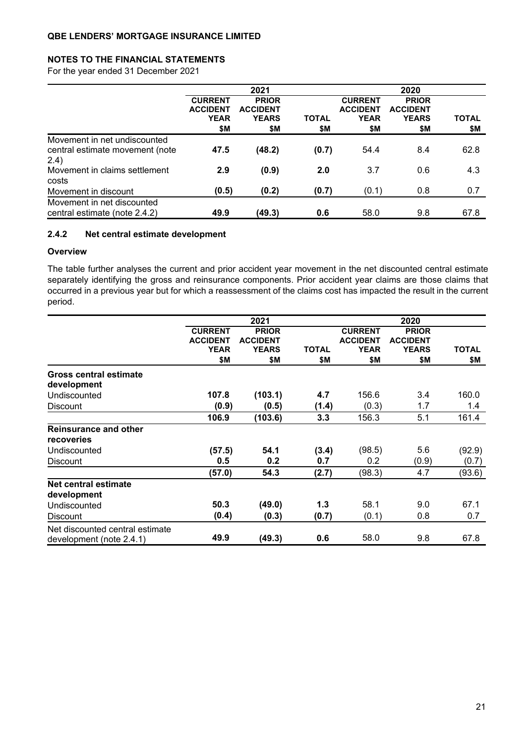### **NOTES TO THE FINANCIAL STATEMENTS**

For the year ended 31 December 2021

|                                                                          | 2021                                                    |                                                        |                     |                                                         | 2020                                                   |                     |  |  |
|--------------------------------------------------------------------------|---------------------------------------------------------|--------------------------------------------------------|---------------------|---------------------------------------------------------|--------------------------------------------------------|---------------------|--|--|
|                                                                          | <b>CURRENT</b><br><b>ACCIDENT</b><br><b>YEAR</b><br>\$Μ | <b>PRIOR</b><br><b>ACCIDENT</b><br><b>YEARS</b><br>\$Μ | <b>TOTAL</b><br>\$M | <b>CURRENT</b><br><b>ACCIDENT</b><br><b>YEAR</b><br>\$Μ | <b>PRIOR</b><br><b>ACCIDENT</b><br><b>YEARS</b><br>\$Μ | <b>TOTAL</b><br>\$М |  |  |
| Movement in net undiscounted<br>central estimate movement (note<br>(2.4) | 47.5                                                    | (48.2)                                                 | (0.7)               | 54.4                                                    | 8.4                                                    | 62.8                |  |  |
| Movement in claims settlement<br>costs                                   | 2.9                                                     | (0.9)                                                  | 2.0                 | 3.7                                                     | 0.6                                                    | 4.3                 |  |  |
| Movement in discount                                                     | (0.5)                                                   | (0.2)                                                  | (0.7)               | (0.1)                                                   | 0.8                                                    | 0.7                 |  |  |
| Movement in net discounted<br>central estimate (note 2.4.2)              | 49.9                                                    | (49.3)                                                 | 0.6                 | 58.0                                                    | 9.8                                                    | 67.8                |  |  |

## **2.4.2 Net central estimate development**

#### **Overview**

The table further analyses the current and prior accident year movement in the net discounted central estimate separately identifying the gross and reinsurance components. Prior accident year claims are those claims that occurred in a previous year but for which a reassessment of the claims cost has impacted the result in the current period.

|                                                             |                                                         | 2021                                                   |                     | 2020                                                    |                                                        |              |  |
|-------------------------------------------------------------|---------------------------------------------------------|--------------------------------------------------------|---------------------|---------------------------------------------------------|--------------------------------------------------------|--------------|--|
|                                                             | <b>CURRENT</b><br><b>ACCIDENT</b><br><b>YEAR</b><br>\$Μ | <b>PRIOR</b><br><b>ACCIDENT</b><br><b>YEARS</b><br>\$Μ | <b>TOTAL</b><br>\$Μ | <b>CURRENT</b><br><b>ACCIDENT</b><br><b>YEAR</b><br>\$Μ | <b>PRIOR</b><br><b>ACCIDENT</b><br><b>YEARS</b><br>\$Μ | <b>TOTAL</b> |  |
|                                                             |                                                         |                                                        |                     |                                                         |                                                        | \$Μ          |  |
| <b>Gross central estimate</b><br>development                |                                                         |                                                        |                     |                                                         |                                                        |              |  |
| Undiscounted                                                | 107.8                                                   | (103.1)                                                | 4.7                 | 156.6                                                   | 3.4                                                    | 160.0        |  |
| <b>Discount</b>                                             | (0.9)                                                   | (0.5)                                                  | (1.4)               | (0.3)                                                   | 1.7                                                    | 1.4          |  |
|                                                             | 106.9                                                   | (103.6)                                                | 3.3                 | 156.3                                                   | 5.1                                                    | 161.4        |  |
| Reinsurance and other<br><b>recoveries</b>                  |                                                         |                                                        |                     |                                                         |                                                        |              |  |
| Undiscounted                                                | (57.5)                                                  | 54.1                                                   | (3.4)               | (98.5)                                                  | 5.6                                                    | (92.9)       |  |
| <b>Discount</b>                                             | 0.5                                                     | 0.2                                                    | 0.7                 | 0.2                                                     | (0.9)                                                  | (0.7)        |  |
|                                                             | (57.0)                                                  | 54.3                                                   | (2.7)               | (98.3)                                                  | 4.7                                                    | (93.6)       |  |
| Net central estimate<br>development                         |                                                         |                                                        |                     |                                                         |                                                        |              |  |
| Undiscounted                                                | 50.3                                                    | (49.0)                                                 | 1.3                 | 58.1                                                    | 9.0                                                    | 67.1         |  |
| <b>Discount</b>                                             | (0.4)                                                   | (0.3)                                                  | (0.7)               | (0.1)                                                   | 0.8                                                    | 0.7          |  |
| Net discounted central estimate<br>development (note 2.4.1) | 49.9                                                    | (49.3)                                                 | 0.6                 | 58.0                                                    | 9.8                                                    | 67.8         |  |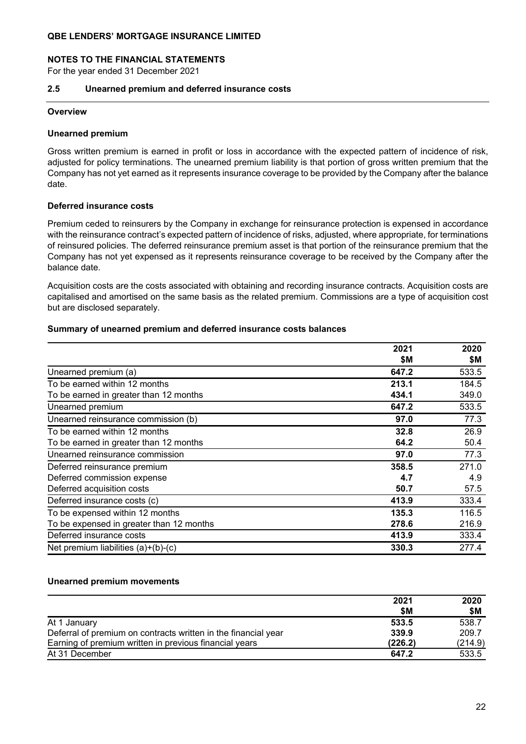#### **NOTES TO THE FINANCIAL STATEMENTS**

For the year ended 31 December 2021

#### **2.5 Unearned premium and deferred insurance costs**

#### **Overview**

#### **Unearned premium**

Gross written premium is earned in profit or loss in accordance with the expected pattern of incidence of risk, adjusted for policy terminations. The unearned premium liability is that portion of gross written premium that the Company has not yet earned as it represents insurance coverage to be provided by the Company after the balance date.

#### **Deferred insurance costs**

Premium ceded to reinsurers by the Company in exchange for reinsurance protection is expensed in accordance with the reinsurance contract's expected pattern of incidence of risks, adjusted, where appropriate, for terminations of reinsured policies. The deferred reinsurance premium asset is that portion of the reinsurance premium that the Company has not yet expensed as it represents reinsurance coverage to be received by the Company after the balance date.

Acquisition costs are the costs associated with obtaining and recording insurance contracts. Acquisition costs are capitalised and amortised on the same basis as the related premium. Commissions are a type of acquisition cost but are disclosed separately.

#### **Summary of unearned premium and deferred insurance costs balances**

|                                          | 2021  | 2020  |
|------------------------------------------|-------|-------|
|                                          | \$Μ   | \$M   |
| Unearned premium (a)                     | 647.2 | 533.5 |
| To be earned within 12 months            | 213.1 | 184.5 |
| To be earned in greater than 12 months   | 434.1 | 349.0 |
| Unearned premium                         | 647.2 | 533.5 |
| Unearned reinsurance commission (b)      | 97.0  | 77.3  |
| To be earned within 12 months            | 32.8  | 26.9  |
| To be earned in greater than 12 months   | 64.2  | 50.4  |
| Unearned reinsurance commission          | 97.0  | 77.3  |
| Deferred reinsurance premium             | 358.5 | 271.0 |
| Deferred commission expense              | 4.7   | 4.9   |
| Deferred acquisition costs               | 50.7  | 57.5  |
| Deferred insurance costs (c)             | 413.9 | 333.4 |
| To be expensed within 12 months          | 135.3 | 116.5 |
| To be expensed in greater than 12 months | 278.6 | 216.9 |
| Deferred insurance costs                 | 413.9 | 333.4 |
| Net premium liabilities (a)+(b)-(c)      | 330.3 | 277.4 |

### **Unearned premium movements**

|                                                                | 2021    | 2020    |
|----------------------------------------------------------------|---------|---------|
|                                                                | \$M     | \$M     |
| At 1 January                                                   | 533.5   | 538.7   |
| Deferral of premium on contracts written in the financial year | 339.9   | 209.7   |
| Earning of premium written in previous financial years         | (226.2) | (214.9) |
| At 31 December                                                 | 647.2   | 533.5   |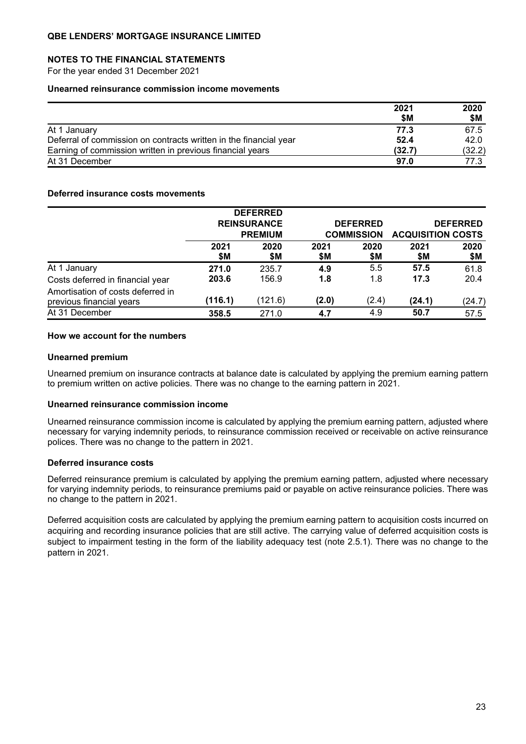#### **NOTES TO THE FINANCIAL STATEMENTS**

For the year ended 31 December 2021

#### **Unearned reinsurance commission income movements**

|                                                                   | 2021   | 2020   |
|-------------------------------------------------------------------|--------|--------|
|                                                                   | \$M    | \$M    |
| At 1 January                                                      | 77.3   | 67.5   |
| Deferral of commission on contracts written in the financial year | 52.4   | 42.0   |
| Earning of commission written in previous financial years         | (32.7) | (32.2) |
| At 31 December                                                    | 97.0   | 77.3   |

#### **Deferred insurance costs movements**

|                                                               |                                      | <b>DEFERRED</b> |                                      |       |                                             |        |
|---------------------------------------------------------------|--------------------------------------|-----------------|--------------------------------------|-------|---------------------------------------------|--------|
|                                                               | <b>REINSURANCE</b><br><b>PREMIUM</b> |                 | <b>DEFERRED</b><br><b>COMMISSION</b> |       | <b>DEFERRED</b><br><b>ACQUISITION COSTS</b> |        |
|                                                               |                                      |                 |                                      |       |                                             |        |
|                                                               | 2021                                 | 2020            | 2021                                 | 2020  | 2021                                        | 2020   |
|                                                               | \$M                                  | \$Μ             | \$Μ                                  |       | \$Μ                                         | \$M    |
| At 1 January                                                  | 271.0                                | 235.7           | 4.9                                  | 5.5   | 57.5                                        | 61.8   |
| Costs deferred in financial year                              | 203.6                                | 156.9           | 1.8                                  | 1.8   | 17.3                                        | 20.4   |
| Amortisation of costs deferred in<br>previous financial years | (116.1)                              | (121.6)         | (2.0)                                | (2.4) | (24.1)                                      | (24.7) |
| At 31 December                                                | 358.5                                | 271.0           | 4.7                                  | 4.9   | 50.7                                        | 57.5   |
|                                                               |                                      |                 |                                      | \$Μ   |                                             |        |

### **How we account for the numbers**

#### **Unearned premium**

Unearned premium on insurance contracts at balance date is calculated by applying the premium earning pattern to premium written on active policies. There was no change to the earning pattern in 2021.

#### **Unearned reinsurance commission income**

Unearned reinsurance commission income is calculated by applying the premium earning pattern, adjusted where necessary for varying indemnity periods, to reinsurance commission received or receivable on active reinsurance polices. There was no change to the pattern in 2021.

### **Deferred insurance costs**

Deferred reinsurance premium is calculated by applying the premium earning pattern, adjusted where necessary for varying indemnity periods, to reinsurance premiums paid or payable on active reinsurance policies. There was no change to the pattern in 2021.

Deferred acquisition costs are calculated by applying the premium earning pattern to acquisition costs incurred on acquiring and recording insurance policies that are still active. The carrying value of deferred acquisition costs is subject to impairment testing in the form of the liability adequacy test (note 2.5.1). There was no change to the pattern in 2021.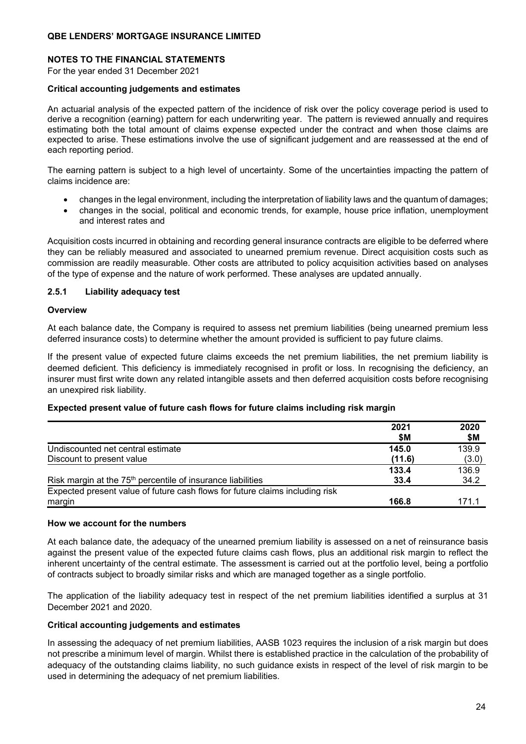### **NOTES TO THE FINANCIAL STATEMENTS**

For the year ended 31 December 2021

#### **Critical accounting judgements and estimates**

An actuarial analysis of the expected pattern of the incidence of risk over the policy coverage period is used to derive a recognition (earning) pattern for each underwriting year. The pattern is reviewed annually and requires estimating both the total amount of claims expense expected under the contract and when those claims are expected to arise. These estimations involve the use of significant judgement and are reassessed at the end of each reporting period.

The earning pattern is subject to a high level of uncertainty. Some of the uncertainties impacting the pattern of claims incidence are:

- changes in the legal environment, including the interpretation of liability laws and the quantum of damages;
- changes in the social, political and economic trends, for example, house price inflation, unemployment and interest rates and

Acquisition costs incurred in obtaining and recording general insurance contracts are eligible to be deferred where they can be reliably measured and associated to unearned premium revenue. Direct acquisition costs such as commission are readily measurable. Other costs are attributed to policy acquisition activities based on analyses of the type of expense and the nature of work performed. These analyses are updated annually.

### **2.5.1 Liability adequacy test**

#### **Overview**

At each balance date, the Company is required to assess net premium liabilities (being unearned premium less deferred insurance costs) to determine whether the amount provided is sufficient to pay future claims.

If the present value of expected future claims exceeds the net premium liabilities, the net premium liability is deemed deficient. This deficiency is immediately recognised in profit or loss. In recognising the deficiency, an insurer must first write down any related intangible assets and then deferred acquisition costs before recognising an unexpired risk liability.

#### **Expected present value of future cash flows for future claims including risk margin**

|                                                                              | 2021   | 2020  |
|------------------------------------------------------------------------------|--------|-------|
|                                                                              | \$M    | \$M   |
| Undiscounted net central estimate                                            | 145.0  | 139.9 |
| Discount to present value                                                    | (11.6) | (3.0) |
|                                                                              | 133.4  | 136.9 |
| Risk margin at the 75 <sup>th</sup> percentile of insurance liabilities      | 33.4   | 34.2  |
| Expected present value of future cash flows for future claims including risk |        |       |
| margin                                                                       | 166.8  | 171 1 |

### **How we account for the numbers**

At each balance date, the adequacy of the unearned premium liability is assessed on a net of reinsurance basis against the present value of the expected future claims cash flows, plus an additional risk margin to reflect the inherent uncertainty of the central estimate. The assessment is carried out at the portfolio level, being a portfolio of contracts subject to broadly similar risks and which are managed together as a single portfolio.

The application of the liability adequacy test in respect of the net premium liabilities identified a surplus at 31 December 2021 and 2020.

#### **Critical accounting judgements and estimates**

In assessing the adequacy of net premium liabilities, AASB 1023 requires the inclusion of a risk margin but does not prescribe a minimum level of margin. Whilst there is established practice in the calculation of the probability of adequacy of the outstanding claims liability, no such guidance exists in respect of the level of risk margin to be used in determining the adequacy of net premium liabilities.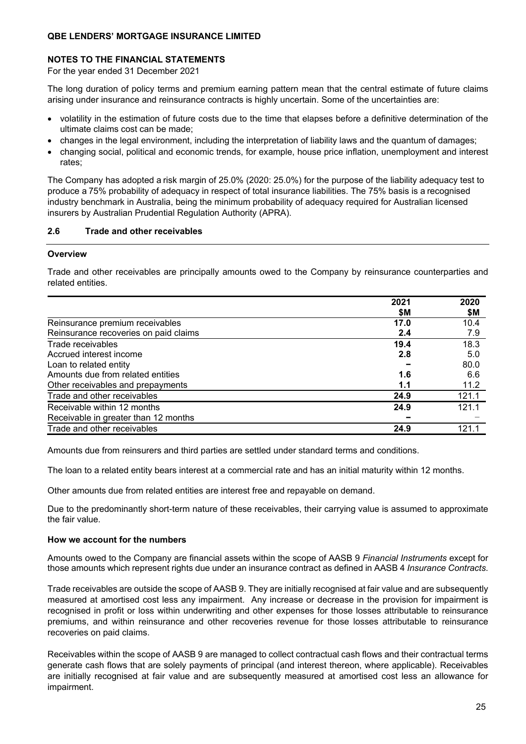### **NOTES TO THE FINANCIAL STATEMENTS**

For the year ended 31 December 2021

The long duration of policy terms and premium earning pattern mean that the central estimate of future claims arising under insurance and reinsurance contracts is highly uncertain. Some of the uncertainties are:

- volatility in the estimation of future costs due to the time that elapses before a definitive determination of the ultimate claims cost can be made;
- changes in the legal environment, including the interpretation of liability laws and the quantum of damages;
- changing social, political and economic trends, for example, house price inflation, unemployment and interest rates;

The Company has adopted a risk margin of 25.0% (2020: 25.0%) for the purpose of the liability adequacy test to produce a 75% probability of adequacy in respect of total insurance liabilities. The 75% basis is a recognised industry benchmark in Australia, being the minimum probability of adequacy required for Australian licensed insurers by Australian Prudential Regulation Authority (APRA).

#### **2.6 Trade and other receivables**

#### **Overview**

Trade and other receivables are principally amounts owed to the Company by reinsurance counterparties and related entities.

|                                       | 2021 | 2020  |
|---------------------------------------|------|-------|
|                                       | \$M  | \$M   |
| Reinsurance premium receivables       | 17.0 | 10.4  |
| Reinsurance recoveries on paid claims | 2.4  | 7.9   |
| Trade receivables                     | 19.4 | 18.3  |
| Accrued interest income               | 2.8  | 5.0   |
| Loan to related entity                |      | 80.0  |
| Amounts due from related entities     | 1.6  | 6.6   |
| Other receivables and prepayments     | 1.1  | 11.2  |
| Trade and other receivables           | 24.9 | 121.1 |
| Receivable within 12 months           | 24.9 | 121.1 |
| Receivable in greater than 12 months  |      |       |
| Trade and other receivables           | 24.9 | 121.1 |

Amounts due from reinsurers and third parties are settled under standard terms and conditions.

The loan to a related entity bears interest at a commercial rate and has an initial maturity within 12 months.

Other amounts due from related entities are interest free and repayable on demand.

Due to the predominantly short-term nature of these receivables, their carrying value is assumed to approximate the fair value.

#### **How we account for the numbers**

Amounts owed to the Company are financial assets within the scope of AASB 9 *Financial Instruments* except for those amounts which represent rights due under an insurance contract as defined in AASB 4 *Insurance Contracts*.

Trade receivables are outside the scope of AASB 9. They are initially recognised at fair value and are subsequently measured at amortised cost less any impairment. Any increase or decrease in the provision for impairment is recognised in profit or loss within underwriting and other expenses for those losses attributable to reinsurance premiums, and within reinsurance and other recoveries revenue for those losses attributable to reinsurance recoveries on paid claims.

Receivables within the scope of AASB 9 are managed to collect contractual cash flows and their contractual terms generate cash flows that are solely payments of principal (and interest thereon, where applicable). Receivables are initially recognised at fair value and are subsequently measured at amortised cost less an allowance for impairment.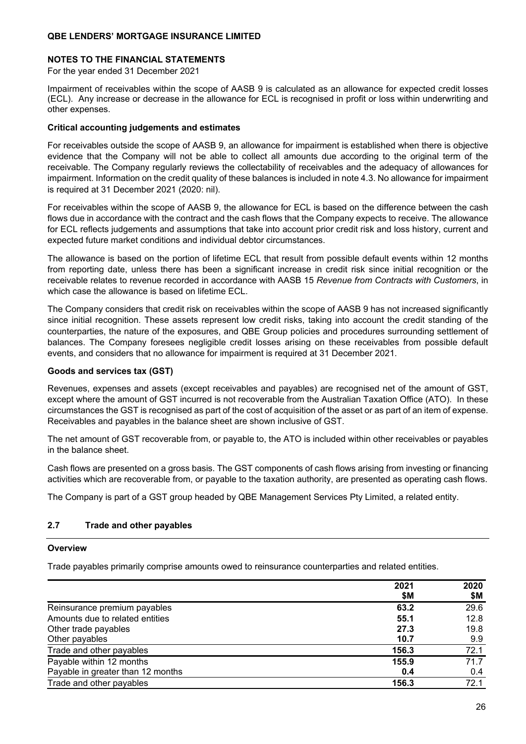### **NOTES TO THE FINANCIAL STATEMENTS**

For the year ended 31 December 2021

Impairment of receivables within the scope of AASB 9 is calculated as an allowance for expected credit losses (ECL). Any increase or decrease in the allowance for ECL is recognised in profit or loss within underwriting and other expenses.

### **Critical accounting judgements and estimates**

For receivables outside the scope of AASB 9, an allowance for impairment is established when there is objective evidence that the Company will not be able to collect all amounts due according to the original term of the receivable. The Company regularly reviews the collectability of receivables and the adequacy of allowances for impairment. Information on the credit quality of these balances is included in note 4.3. No allowance for impairment is required at 31 December 2021 (2020: nil).

For receivables within the scope of AASB 9, the allowance for ECL is based on the difference between the cash flows due in accordance with the contract and the cash flows that the Company expects to receive. The allowance for ECL reflects judgements and assumptions that take into account prior credit risk and loss history, current and expected future market conditions and individual debtor circumstances.

The allowance is based on the portion of lifetime ECL that result from possible default events within 12 months from reporting date, unless there has been a significant increase in credit risk since initial recognition or the receivable relates to revenue recorded in accordance with AASB 15 *Revenue from Contracts with Customers*, in which case the allowance is based on lifetime ECL.

The Company considers that credit risk on receivables within the scope of AASB 9 has not increased significantly since initial recognition. These assets represent low credit risks, taking into account the credit standing of the counterparties, the nature of the exposures, and QBE Group policies and procedures surrounding settlement of balances. The Company foresees negligible credit losses arising on these receivables from possible default events, and considers that no allowance for impairment is required at 31 December 2021.

### **Goods and services tax (GST)**

Revenues, expenses and assets (except receivables and payables) are recognised net of the amount of GST, except where the amount of GST incurred is not recoverable from the Australian Taxation Office (ATO). In these circumstances the GST is recognised as part of the cost of acquisition of the asset or as part of an item of expense. Receivables and payables in the balance sheet are shown inclusive of GST.

The net amount of GST recoverable from, or payable to, the ATO is included within other receivables or payables in the balance sheet.

Cash flows are presented on a gross basis. The GST components of cash flows arising from investing or financing activities which are recoverable from, or payable to the taxation authority, are presented as operating cash flows.

The Company is part of a GST group headed by QBE Management Services Pty Limited, a related entity.

### **2.7 Trade and other payables**

#### **Overview**

Trade payables primarily comprise amounts owed to reinsurance counterparties and related entities.

|                                   | 2021<br>\$Μ | 2020<br>\$Μ |
|-----------------------------------|-------------|-------------|
| Reinsurance premium payables      | 63.2        | 29.6        |
| Amounts due to related entities   | 55.1        | 12.8        |
| Other trade payables              | 27.3        | 19.8        |
| Other payables                    | 10.7        | 9.9         |
| Trade and other payables          | 156.3       | 72.1        |
| Payable within 12 months          | 155.9       | 71.7        |
| Payable in greater than 12 months | 0.4         | 0.4         |
| Trade and other payables          | 156.3       | 72.1        |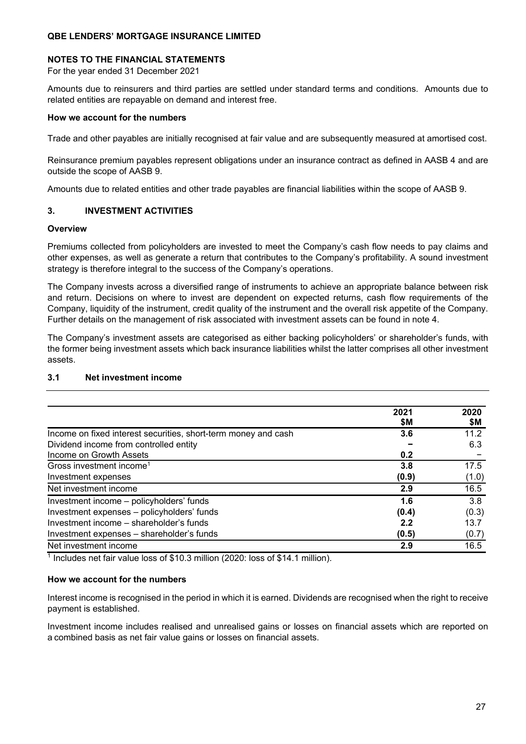### **NOTES TO THE FINANCIAL STATEMENTS**

For the year ended 31 December 2021

Amounts due to reinsurers and third parties are settled under standard terms and conditions. Amounts due to related entities are repayable on demand and interest free.

#### **How we account for the numbers**

Trade and other payables are initially recognised at fair value and are subsequently measured at amortised cost.

Reinsurance premium payables represent obligations under an insurance contract as defined in AASB 4 and are outside the scope of AASB 9.

Amounts due to related entities and other trade payables are financial liabilities within the scope of AASB 9.

### **3. INVESTMENT ACTIVITIES**

#### **Overview**

Premiums collected from policyholders are invested to meet the Company's cash flow needs to pay claims and other expenses, as well as generate a return that contributes to the Company's profitability. A sound investment strategy is therefore integral to the success of the Company's operations.

The Company invests across a diversified range of instruments to achieve an appropriate balance between risk and return. Decisions on where to invest are dependent on expected returns, cash flow requirements of the Company, liquidity of the instrument, credit quality of the instrument and the overall risk appetite of the Company. Further details on the management of risk associated with investment assets can be found in note 4.

The Company's investment assets are categorised as either backing policyholders' or shareholder's funds, with the former being investment assets which back insurance liabilities whilst the latter comprises all other investment assets.

|                                                                | 2021<br>\$Μ | 2020<br>\$М |
|----------------------------------------------------------------|-------------|-------------|
| Income on fixed interest securities, short-term money and cash | 3.6         | 11.2        |
| Dividend income from controlled entity                         |             | 6.3         |
| Income on Growth Assets                                        | 0.2         |             |
| Gross investment income <sup>1</sup>                           | 3.8         | 17.5        |
| Investment expenses                                            | (0.9)       | (1.0)       |
| Net investment income                                          | 2.9         | 16.5        |
| Investment income - policyholders' funds                       | 1.6         | 3.8         |
| Investment expenses - policyholders' funds                     | (0.4)       | (0.3)       |
| Investment income - shareholder's funds                        | 2.2         | 13.7        |
| Investment expenses - shareholder's funds                      | (0.5)       | (0.7)       |
| Net investment income                                          | 2.9         | 16.5        |

### **3.1 Net investment income**

<sup>1</sup> Includes net fair value loss of \$10.3 million (2020: loss of \$14.1 million).

### **How we account for the numbers**

Interest income is recognised in the period in which it is earned. Dividends are recognised when the right to receive payment is established.

Investment income includes realised and unrealised gains or losses on financial assets which are reported on a combined basis as net fair value gains or losses on financial assets.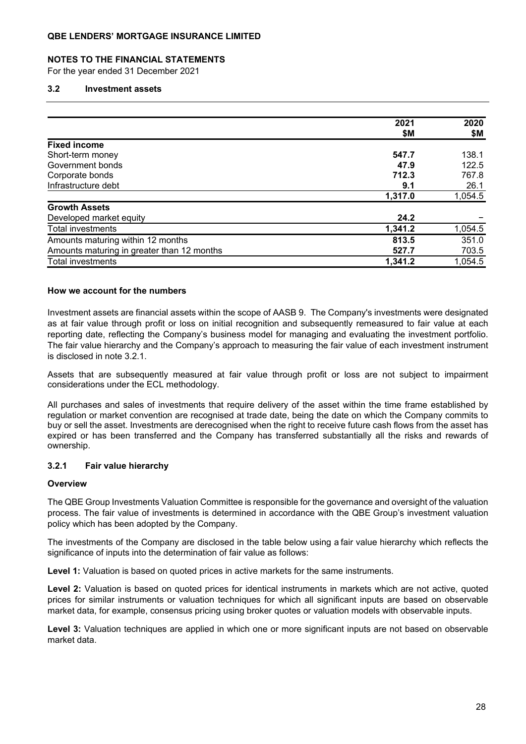#### **NOTES TO THE FINANCIAL STATEMENTS**

For the year ended 31 December 2021

#### **3.2 Investment assets**

|                                            | 2021    | 2020    |
|--------------------------------------------|---------|---------|
|                                            | \$М     | \$Μ     |
| <b>Fixed income</b>                        |         |         |
| Short-term money                           | 547.7   | 138.1   |
| Government bonds                           | 47.9    | 122.5   |
| Corporate bonds                            | 712.3   | 767.8   |
| Infrastructure debt                        | 9.1     | 26.1    |
|                                            | 1,317.0 | 1,054.5 |
| <b>Growth Assets</b>                       |         |         |
| Developed market equity                    | 24.2    |         |
| Total investments                          | 1,341.2 | 1,054.5 |
| Amounts maturing within 12 months          | 813.5   | 351.0   |
| Amounts maturing in greater than 12 months | 527.7   | 703.5   |
| <b>Total investments</b>                   | 1,341.2 | 1,054.5 |

#### **How we account for the numbers**

Investment assets are financial assets within the scope of AASB 9. The Company's investments were designated as at fair value through profit or loss on initial recognition and subsequently remeasured to fair value at each reporting date, reflecting the Company's business model for managing and evaluating the investment portfolio. The fair value hierarchy and the Company's approach to measuring the fair value of each investment instrument is disclosed in note 3.2.1.

Assets that are subsequently measured at fair value through profit or loss are not subject to impairment considerations under the ECL methodology.

All purchases and sales of investments that require delivery of the asset within the time frame established by regulation or market convention are recognised at trade date, being the date on which the Company commits to buy or sell the asset. Investments are derecognised when the right to receive future cash flows from the asset has expired or has been transferred and the Company has transferred substantially all the risks and rewards of ownership.

#### **3.2.1 Fair value hierarchy**

#### **Overview**

The QBE Group Investments Valuation Committee is responsible for the governance and oversight of the valuation process. The fair value of investments is determined in accordance with the QBE Group's investment valuation policy which has been adopted by the Company.

The investments of the Company are disclosed in the table below using a fair value hierarchy which reflects the significance of inputs into the determination of fair value as follows:

**Level 1:** Valuation is based on quoted prices in active markets for the same instruments.

**Level 2:** Valuation is based on quoted prices for identical instruments in markets which are not active, quoted prices for similar instruments or valuation techniques for which all significant inputs are based on observable market data, for example, consensus pricing using broker quotes or valuation models with observable inputs.

**Level 3:** Valuation techniques are applied in which one or more significant inputs are not based on observable market data.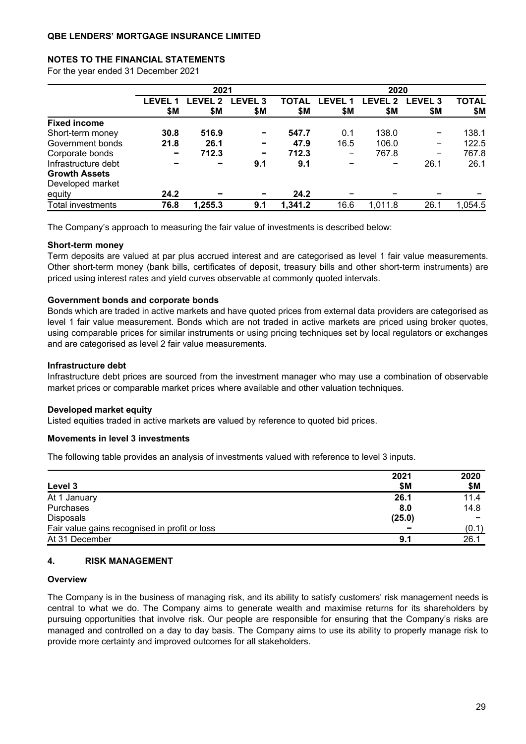### **NOTES TO THE FINANCIAL STATEMENTS**

For the year ended 31 December 2021

|                                          |              | 2021          |                          |              |              | 2020         |                       |                     |
|------------------------------------------|--------------|---------------|--------------------------|--------------|--------------|--------------|-----------------------|---------------------|
|                                          | LEVEL<br>\$Μ | FVFI 2<br>\$Μ | <b>LEVEL 3</b><br>\$Μ    | TOTAL<br>\$Μ | LEVEL<br>\$Μ | LEVEL<br>\$Μ | <b>LEVEL 3</b><br>\$Μ | <b>TOTAL</b><br>\$Μ |
| <b>Fixed income</b>                      |              |               |                          |              |              |              |                       |                     |
| Short-term money                         | 30.8         | 516.9         | $\overline{\phantom{0}}$ | 547.7        | 0.1          | 138.0        | -                     | 138.1               |
| Government bonds                         | 21.8         | 26.1          |                          | 47.9         | 16.5         | 106.0        | -                     | 122.5               |
| Corporate bonds                          |              | 712.3         |                          | 712.3        | -            | 767.8        | -                     | 767.8               |
| Infrastructure debt                      |              |               | 9.1                      | 9.1          |              |              | 26.1                  | 26.1                |
| <b>Growth Assets</b><br>Developed market |              |               |                          |              |              |              |                       |                     |
| equity                                   | 24.2         |               |                          | 24.2         |              |              |                       |                     |
| <b>Total investments</b>                 | 76.8         | 1,255.3       | 9.1                      | 1,341.2      | 16.6         | 1,011.8      | 26.1                  | 1,054.5             |

The Company's approach to measuring the fair value of investments is described below:

#### **Short-term money**

Term deposits are valued at par plus accrued interest and are categorised as level 1 fair value measurements. Other short-term money (bank bills, certificates of deposit, treasury bills and other short-term instruments) are priced using interest rates and yield curves observable at commonly quoted intervals.

#### **Government bonds and corporate bonds**

Bonds which are traded in active markets and have quoted prices from external data providers are categorised as level 1 fair value measurement. Bonds which are not traded in active markets are priced using broker quotes, using comparable prices for similar instruments or using pricing techniques set by local regulators or exchanges and are categorised as level 2 fair value measurements.

#### **Infrastructure debt**

Infrastructure debt prices are sourced from the investment manager who may use a combination of observable market prices or comparable market prices where available and other valuation techniques.

#### **Developed market equity**

Listed equities traded in active markets are valued by reference to quoted bid prices.

#### **Movements in level 3 investments**

The following table provides an analysis of investments valued with reference to level 3 inputs.

|                                               | 2021   | 2020  |
|-----------------------------------------------|--------|-------|
| Level 3                                       | \$M    | \$Μ   |
| At 1 January                                  | 26.1   | 11.4  |
| Purchases                                     | 8.0    | 14.8  |
| Disposals                                     | (25.0) |       |
| Fair value gains recognised in profit or loss |        | (0.1) |
| At 31 December                                | 9.1    | 26.1  |

#### **4. RISK MANAGEMENT**

#### **Overview**

The Company is in the business of managing risk, and its ability to satisfy customers' risk management needs is central to what we do. The Company aims to generate wealth and maximise returns for its shareholders by pursuing opportunities that involve risk. Our people are responsible for ensuring that the Company's risks are managed and controlled on a day to day basis. The Company aims to use its ability to properly manage risk to provide more certainty and improved outcomes for all stakeholders.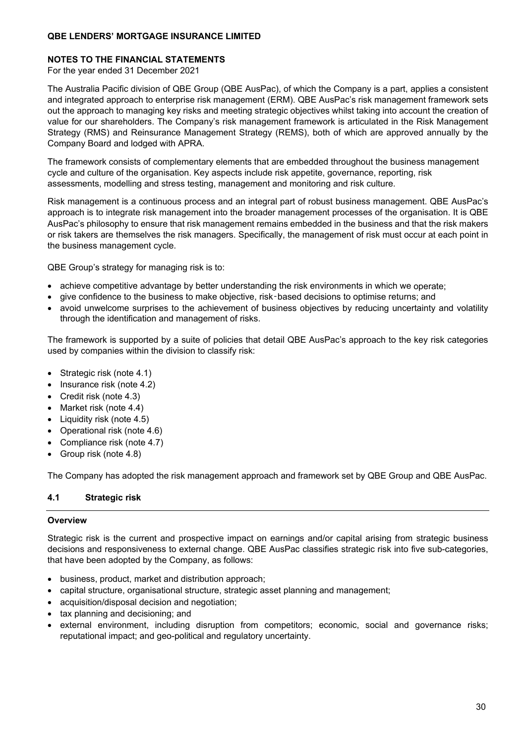### **NOTES TO THE FINANCIAL STATEMENTS**

For the year ended 31 December 2021

The Australia Pacific division of QBE Group (QBE AusPac), of which the Company is a part, applies a consistent and integrated approach to enterprise risk management (ERM). QBE AusPac's risk management framework sets out the approach to managing key risks and meeting strategic objectives whilst taking into account the creation of value for our shareholders. The Company's risk management framework is articulated in the Risk Management Strategy (RMS) and Reinsurance Management Strategy (REMS), both of which are approved annually by the Company Board and lodged with APRA.

The framework consists of complementary elements that are embedded throughout the business management cycle and culture of the organisation. Key aspects include risk appetite, governance, reporting, risk assessments, modelling and stress testing, management and monitoring and risk culture.

Risk management is a continuous process and an integral part of robust business management. QBE AusPac's approach is to integrate risk management into the broader management processes of the organisation. It is QBE AusPac's philosophy to ensure that risk management remains embedded in the business and that the risk makers or risk takers are themselves the risk managers. Specifically, the management of risk must occur at each point in the business management cycle.

QBE Group's strategy for managing risk is to:

- achieve competitive advantage by better understanding the risk environments in which we operate;
- give confidence to the business to make objective, risk‑based decisions to optimise returns; and
- avoid unwelcome surprises to the achievement of business objectives by reducing uncertainty and volatility through the identification and management of risks.

The framework is supported by a suite of policies that detail QBE AusPac's approach to the key risk categories used by companies within the division to classify risk:

- Strategic risk (note 4.1)
- Insurance risk (note 4.2)
- Credit risk (note 4.3)
- Market risk (note 4.4)
- Liquidity risk (note 4.5)
- Operational risk (note 4.6)
- Compliance risk (note 4.7)
- Group risk (note 4.8)

The Company has adopted the risk management approach and framework set by QBE Group and QBE AusPac.

### **4.1 Strategic risk**

### **Overview**

Strategic risk is the current and prospective impact on earnings and/or capital arising from strategic business decisions and responsiveness to external change. QBE AusPac classifies strategic risk into five sub-categories, that have been adopted by the Company, as follows:

- business, product, market and distribution approach;
- capital structure, organisational structure, strategic asset planning and management;
- acquisition/disposal decision and negotiation;
- tax planning and decisioning; and
- external environment, including disruption from competitors; economic, social and governance risks; reputational impact; and geo-political and regulatory uncertainty.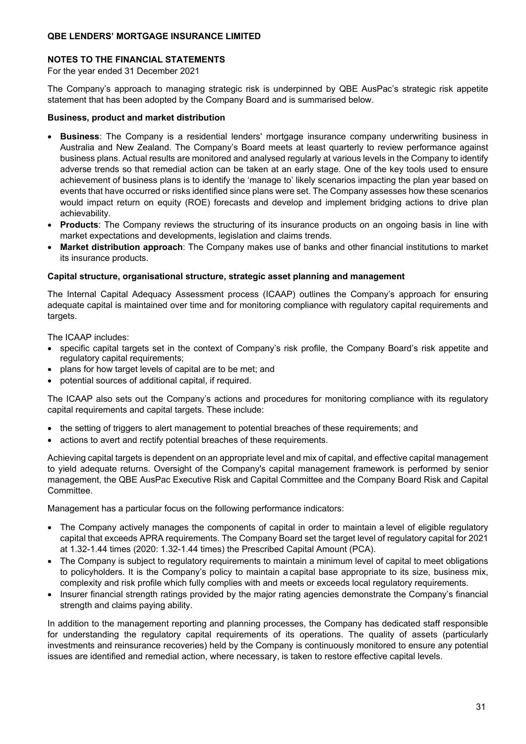### **NOTES TO THE FINANCIAL STATEMENTS**

For the year ended 31 December 2021

The Company's approach to managing strategic risk is underpinned by QBE AusPac's strategic risk appetite statement that has been adopted by the Company Board and is summarised below.

### **Business, product and market distribution**

- **Business**: The Company is a residential lenders' mortgage insurance company underwriting business in Australia and New Zealand. The Company's Board meets at least quarterly to review performance against business plans. Actual results are monitored and analysed regularly at various levels in the Company to identify adverse trends so that remedial action can be taken at an early stage. One of the key tools used to ensure achievement of business plans is to identify the 'manage to' likely scenarios impacting the plan year based on events that have occurred or risks identified since plans were set. The Company assesses how these scenarios would impact return on equity (ROE) forecasts and develop and implement bridging actions to drive plan achievability.
- **Products**: The Company reviews the structuring of its insurance products on an ongoing basis in line with market expectations and developments, legislation and claims trends.
- **Market distribution approach**: The Company makes use of banks and other financial institutions to market its insurance products.

### **Capital structure, organisational structure, strategic asset planning and management**

The Internal Capital Adequacy Assessment process (ICAAP) outlines the Company's approach for ensuring adequate capital is maintained over time and for monitoring compliance with regulatory capital requirements and targets.

The ICAAP includes:

- specific capital targets set in the context of Company's risk profile, the Company Board's risk appetite and regulatory capital requirements;
- plans for how target levels of capital are to be met; and
- potential sources of additional capital, if required.

The ICAAP also sets out the Company's actions and procedures for monitoring compliance with its regulatory capital requirements and capital targets. These include:

- the setting of triggers to alert management to potential breaches of these requirements; and
- actions to avert and rectify potential breaches of these requirements.

Achieving capital targets is dependent on an appropriate level and mix of capital, and effective capital management to yield adequate returns. Oversight of the Company's capital management framework is performed by senior management, the QBE AusPac Executive Risk and Capital Committee and the Company Board Risk and Capital Committee.

Management has a particular focus on the following performance indicators:

- The Company actively manages the components of capital in order to maintain a level of eligible regulatory capital that exceeds APRA requirements. The Company Board set the target level of regulatory capital for 2021 at 1.32-1.44 times (2020: 1.32-1.44 times) the Prescribed Capital Amount (PCA).
- The Company is subject to regulatory requirements to maintain a minimum level of capital to meet obligations to policyholders. It is the Company's policy to maintain a capital base appropriate to its size, business mix, complexity and risk profile which fully complies with and meets or exceeds local regulatory requirements.
- Insurer financial strength ratings provided by the major rating agencies demonstrate the Company's financial strength and claims paying ability.

In addition to the management reporting and planning processes, the Company has dedicated staff responsible for understanding the regulatory capital requirements of its operations. The quality of assets (particularly investments and reinsurance recoveries) held by the Company is continuously monitored to ensure any potential issues are identified and remedial action, where necessary, is taken to restore effective capital levels.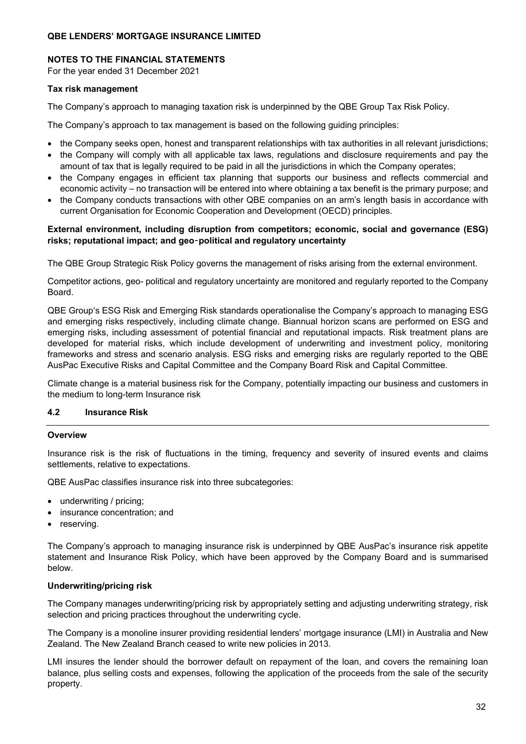### **NOTES TO THE FINANCIAL STATEMENTS**

For the year ended 31 December 2021

#### **Tax risk management**

The Company's approach to managing taxation risk is underpinned by the QBE Group Tax Risk Policy.

The Company's approach to tax management is based on the following guiding principles:

- the Company seeks open, honest and transparent relationships with tax authorities in all relevant jurisdictions;
- the Company will comply with all applicable tax laws, regulations and disclosure requirements and pay the amount of tax that is legally required to be paid in all the jurisdictions in which the Company operates;
- the Company engages in efficient tax planning that supports our business and reflects commercial and economic activity – no transaction will be entered into where obtaining a tax benefit is the primary purpose; and
- the Company conducts transactions with other QBE companies on an arm's length basis in accordance with current Organisation for Economic Cooperation and Development (OECD) principles.

### **External environment, including disruption from competitors; economic, social and governance (ESG) risks; reputational impact; and geo**‑**political and regulatory uncertainty**

The QBE Group Strategic Risk Policy governs the management of risks arising from the external environment.

Competitor actions, geo- political and regulatory uncertainty are monitored and regularly reported to the Company Board.

QBE Group's ESG Risk and Emerging Risk standards operationalise the Company's approach to managing ESG and emerging risks respectively, including climate change. Biannual horizon scans are performed on ESG and emerging risks, including assessment of potential financial and reputational impacts. Risk treatment plans are developed for material risks, which include development of underwriting and investment policy, monitoring frameworks and stress and scenario analysis. ESG risks and emerging risks are regularly reported to the QBE AusPac Executive Risks and Capital Committee and the Company Board Risk and Capital Committee.

Climate change is a material business risk for the Company, potentially impacting our business and customers in the medium to long-term Insurance risk

### **4.2 Insurance Risk**

#### **Overview**

Insurance risk is the risk of fluctuations in the timing, frequency and severity of insured events and claims settlements, relative to expectations.

QBE AusPac classifies insurance risk into three subcategories:

- underwriting / pricing;
- insurance concentration; and
- reserving.

The Company's approach to managing insurance risk is underpinned by QBE AusPac's insurance risk appetite statement and Insurance Risk Policy, which have been approved by the Company Board and is summarised below.

### **Underwriting/pricing risk**

The Company manages underwriting/pricing risk by appropriately setting and adjusting underwriting strategy, risk selection and pricing practices throughout the underwriting cycle.

The Company is a monoline insurer providing residential lenders' mortgage insurance (LMI) in Australia and New Zealand. The New Zealand Branch ceased to write new policies in 2013.

LMI insures the lender should the borrower default on repayment of the loan, and covers the remaining loan balance, plus selling costs and expenses, following the application of the proceeds from the sale of the security property.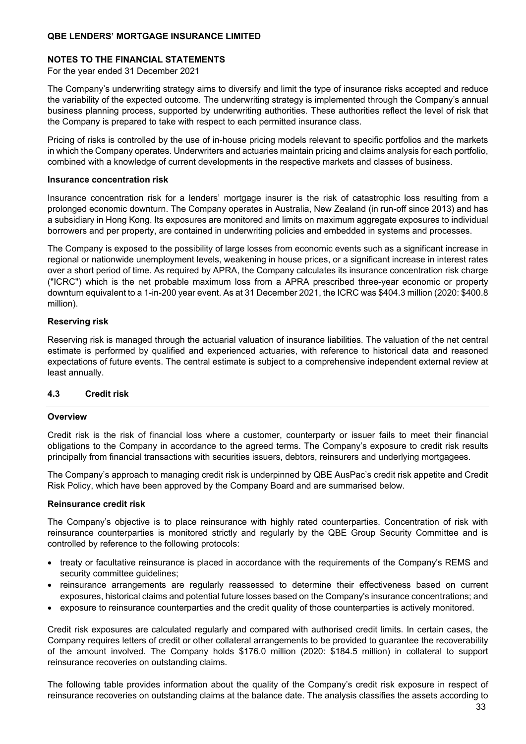### **NOTES TO THE FINANCIAL STATEMENTS**

For the year ended 31 December 2021

The Company's underwriting strategy aims to diversify and limit the type of insurance risks accepted and reduce the variability of the expected outcome. The underwriting strategy is implemented through the Company's annual business planning process, supported by underwriting authorities. These authorities reflect the level of risk that the Company is prepared to take with respect to each permitted insurance class.

Pricing of risks is controlled by the use of in-house pricing models relevant to specific portfolios and the markets in which the Company operates. Underwriters and actuaries maintain pricing and claims analysis for each portfolio, combined with a knowledge of current developments in the respective markets and classes of business.

#### **Insurance concentration risk**

Insurance concentration risk for a lenders' mortgage insurer is the risk of catastrophic loss resulting from a prolonged economic downturn. The Company operates in Australia, New Zealand (in run-off since 2013) and has a subsidiary in Hong Kong. Its exposures are monitored and limits on maximum aggregate exposures to individual borrowers and per property, are contained in underwriting policies and embedded in systems and processes.

The Company is exposed to the possibility of large losses from economic events such as a significant increase in regional or nationwide unemployment levels, weakening in house prices, or a significant increase in interest rates over a short period of time. As required by APRA, the Company calculates its insurance concentration risk charge ("ICRC") which is the net probable maximum loss from a APRA prescribed three-year economic or property downturn equivalent to a 1-in-200 year event. As at 31 December 2021, the ICRC was \$404.3 million (2020: \$400.8 million).

### **Reserving risk**

Reserving risk is managed through the actuarial valuation of insurance liabilities. The valuation of the net central estimate is performed by qualified and experienced actuaries, with reference to historical data and reasoned expectations of future events. The central estimate is subject to a comprehensive independent external review at least annually.

### **4.3 Credit risk**

### **Overview**

Credit risk is the risk of financial loss where a customer, counterparty or issuer fails to meet their financial obligations to the Company in accordance to the agreed terms. The Company's exposure to credit risk results principally from financial transactions with securities issuers, debtors, reinsurers and underlying mortgagees.

The Company's approach to managing credit risk is underpinned by QBE AusPac's credit risk appetite and Credit Risk Policy, which have been approved by the Company Board and are summarised below.

### **Reinsurance credit risk**

The Company's objective is to place reinsurance with highly rated counterparties. Concentration of risk with reinsurance counterparties is monitored strictly and regularly by the QBE Group Security Committee and is controlled by reference to the following protocols:

- treaty or facultative reinsurance is placed in accordance with the requirements of the Company's REMS and security committee guidelines;
- reinsurance arrangements are regularly reassessed to determine their effectiveness based on current exposures, historical claims and potential future losses based on the Company's insurance concentrations; and
- exposure to reinsurance counterparties and the credit quality of those counterparties is actively monitored.

Credit risk exposures are calculated regularly and compared with authorised credit limits. In certain cases, the Company requires letters of credit or other collateral arrangements to be provided to guarantee the recoverability of the amount involved. The Company holds \$176.0 million (2020: \$184.5 million) in collateral to support reinsurance recoveries on outstanding claims.

The following table provides information about the quality of the Company's credit risk exposure in respect of reinsurance recoveries on outstanding claims at the balance date. The analysis classifies the assets according to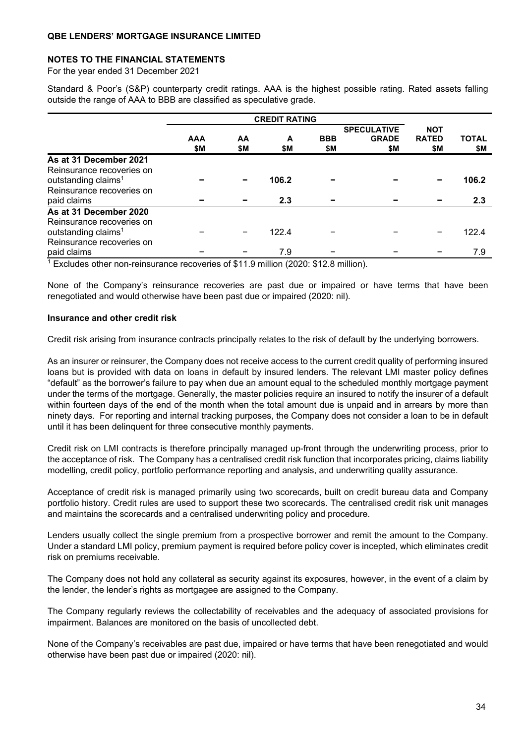#### **NOTES TO THE FINANCIAL STATEMENTS**

For the year ended 31 December 2021

Standard & Poor's (S&P) counterparty credit ratings. AAA is the highest possible rating. Rated assets falling outside the range of AAA to BBB are classified as speculative grade.

|                                                              | <b>CREDIT RATING</b> |     |       |            |                                    |                            |              |
|--------------------------------------------------------------|----------------------|-----|-------|------------|------------------------------------|----------------------------|--------------|
|                                                              | <b>AAA</b>           | AA  | A     | <b>BBB</b> | <b>SPECULATIVE</b><br><b>GRADE</b> | <b>NOT</b><br><b>RATED</b> | <b>TOTAL</b> |
|                                                              | \$M                  | \$M | \$Μ   | \$M        | \$Μ                                | \$Μ                        | \$M          |
| As at 31 December 2021<br>Reinsurance recoveries on          |                      |     |       |            |                                    |                            |              |
| outstanding claims <sup>1</sup><br>Reinsurance recoveries on |                      |     | 106.2 |            |                                    |                            | 106.2        |
| paid claims                                                  |                      |     | 2.3   |            |                                    |                            | 2.3          |
| As at 31 December 2020<br>Reinsurance recoveries on          |                      |     |       |            |                                    |                            |              |
| outstanding claims <sup>1</sup><br>Reinsurance recoveries on |                      |     | 122.4 |            |                                    |                            | 122.4        |
| paid claims                                                  |                      |     | 7.9   |            |                                    |                            | 7.9          |

1 Excludes other non-reinsurance recoveries of \$11.9 million (2020: \$12.8 million).

None of the Company's reinsurance recoveries are past due or impaired or have terms that have been renegotiated and would otherwise have been past due or impaired (2020: nil).

### **Insurance and other credit risk**

Credit risk arising from insurance contracts principally relates to the risk of default by the underlying borrowers.

As an insurer or reinsurer, the Company does not receive access to the current credit quality of performing insured loans but is provided with data on loans in default by insured lenders. The relevant LMI master policy defines "default" as the borrower's failure to pay when due an amount equal to the scheduled monthly mortgage payment under the terms of the mortgage. Generally, the master policies require an insured to notify the insurer of a default within fourteen days of the end of the month when the total amount due is unpaid and in arrears by more than ninety days. For reporting and internal tracking purposes, the Company does not consider a loan to be in default until it has been delinquent for three consecutive monthly payments.

Credit risk on LMI contracts is therefore principally managed up-front through the underwriting process, prior to the acceptance of risk. The Company has a centralised credit risk function that incorporates pricing, claims liability modelling, credit policy, portfolio performance reporting and analysis, and underwriting quality assurance.

Acceptance of credit risk is managed primarily using two scorecards, built on credit bureau data and Company portfolio history. Credit rules are used to support these two scorecards. The centralised credit risk unit manages and maintains the scorecards and a centralised underwriting policy and procedure.

Lenders usually collect the single premium from a prospective borrower and remit the amount to the Company. Under a standard LMI policy, premium payment is required before policy cover is incepted, which eliminates credit risk on premiums receivable.

The Company does not hold any collateral as security against its exposures, however, in the event of a claim by the lender, the lender's rights as mortgagee are assigned to the Company.

The Company regularly reviews the collectability of receivables and the adequacy of associated provisions for impairment. Balances are monitored on the basis of uncollected debt.

None of the Company's receivables are past due, impaired or have terms that have been renegotiated and would otherwise have been past due or impaired (2020: nil).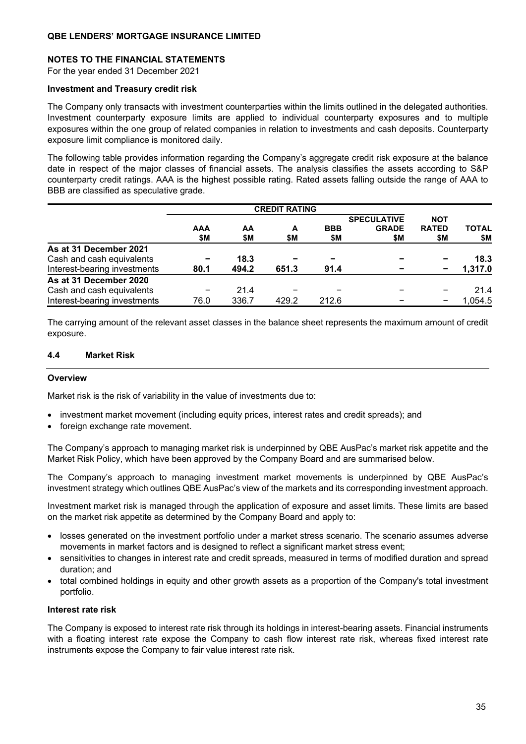### **NOTES TO THE FINANCIAL STATEMENTS**

For the year ended 31 December 2021

#### **Investment and Treasury credit risk**

The Company only transacts with investment counterparties within the limits outlined in the delegated authorities. Investment counterparty exposure limits are applied to individual counterparty exposures and to multiple exposures within the one group of related companies in relation to investments and cash deposits. Counterparty exposure limit compliance is monitored daily.

The following table provides information regarding the Company's aggregate credit risk exposure at the balance date in respect of the major classes of financial assets. The analysis classifies the assets according to S&P counterparty credit ratings. AAA is the highest possible rating. Rated assets falling outside the range of AAA to BBB are classified as speculative grade.

|                              | <b>CREDIT RATING</b> |           |          |                   |                                           |                                   |                     |
|------------------------------|----------------------|-----------|----------|-------------------|-------------------------------------------|-----------------------------------|---------------------|
|                              | AAA<br>\$Μ           | AA<br>\$M | A<br>\$Μ | <b>BBB</b><br>\$Μ | <b>SPECULATIVE</b><br><b>GRADE</b><br>\$M | <b>NOT</b><br><b>RATED</b><br>\$M | <b>TOTAL</b><br>\$M |
| As at 31 December 2021       |                      |           |          |                   |                                           |                                   |                     |
| Cash and cash equivalents    |                      | 18.3      |          |                   |                                           |                                   | 18.3                |
| Interest-bearing investments | 80.1                 | 494.2     | 651.3    | 91.4              |                                           |                                   | 1,317.0             |
| As at 31 December 2020       |                      |           |          |                   |                                           |                                   |                     |
| Cash and cash equivalents    |                      | 21.4      |          |                   |                                           |                                   | 21.4                |
| Interest-bearing investments | 76.0                 | 336.7     | 429.2    | 212.6             |                                           |                                   | 1,054.5             |

The carrying amount of the relevant asset classes in the balance sheet represents the maximum amount of credit exposure.

### **4.4 Market Risk**

#### **Overview**

Market risk is the risk of variability in the value of investments due to:

- investment market movement (including equity prices, interest rates and credit spreads); and
- foreign exchange rate movement.

The Company's approach to managing market risk is underpinned by QBE AusPac's market risk appetite and the Market Risk Policy, which have been approved by the Company Board and are summarised below.

The Company's approach to managing investment market movements is underpinned by QBE AusPac's investment strategy which outlines QBE AusPac's view of the markets and its corresponding investment approach.

Investment market risk is managed through the application of exposure and asset limits. These limits are based on the market risk appetite as determined by the Company Board and apply to:

- losses generated on the investment portfolio under a market stress scenario. The scenario assumes adverse movements in market factors and is designed to reflect a significant market stress event;
- sensitivities to changes in interest rate and credit spreads, measured in terms of modified duration and spread duration; and
- total combined holdings in equity and other growth assets as a proportion of the Company's total investment portfolio.

#### **Interest rate risk**

The Company is exposed to interest rate risk through its holdings in interest-bearing assets. Financial instruments with a floating interest rate expose the Company to cash flow interest rate risk, whereas fixed interest rate instruments expose the Company to fair value interest rate risk.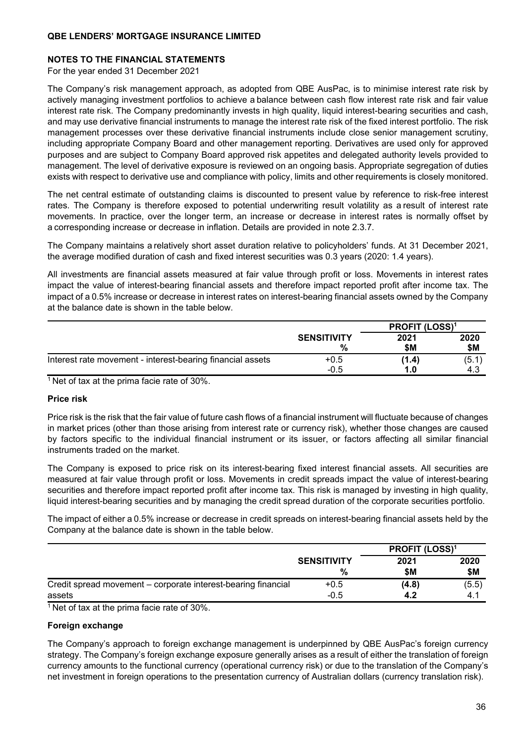### **NOTES TO THE FINANCIAL STATEMENTS**

For the year ended 31 December 2021

The Company's risk management approach, as adopted from QBE AusPac, is to minimise interest rate risk by actively managing investment portfolios to achieve a balance between cash flow interest rate risk and fair value interest rate risk. The Company predominantly invests in high quality, liquid interest-bearing securities and cash, and may use derivative financial instruments to manage the interest rate risk of the fixed interest portfolio. The risk management processes over these derivative financial instruments include close senior management scrutiny, including appropriate Company Board and other management reporting. Derivatives are used only for approved purposes and are subject to Company Board approved risk appetites and delegated authority levels provided to management. The level of derivative exposure is reviewed on an ongoing basis. Appropriate segregation of duties exists with respect to derivative use and compliance with policy, limits and other requirements is closely monitored.

The net central estimate of outstanding claims is discounted to present value by reference to risk-free interest rates. The Company is therefore exposed to potential underwriting result volatility as a result of interest rate movements. In practice, over the longer term, an increase or decrease in interest rates is normally offset by a corresponding increase or decrease in inflation. Details are provided in note 2.3.7.

The Company maintains a relatively short asset duration relative to policyholders' funds. At 31 December 2021, the average modified duration of cash and fixed interest securities was 0.3 years (2020: 1.4 years).

All investments are financial assets measured at fair value through profit or loss. Movements in interest rates impact the value of interest-bearing financial assets and therefore impact reported profit after income tax. The impact of a 0.5% increase or decrease in interest rates on interest-bearing financial assets owned by the Company at the balance date is shown in the table below.

|                                                            |                    | <b>PROFIT (LOSS)<sup>1</sup></b> |       |  |
|------------------------------------------------------------|--------------------|----------------------------------|-------|--|
|                                                            | <b>SENSITIVITY</b> | 2021                             | 2020  |  |
|                                                            | %                  | \$Μ                              | \$M   |  |
| Interest rate movement - interest-bearing financial assets | $+0.5$             | (1.4)                            | (5.1) |  |
|                                                            | $-0.5$             | 1.0                              | 4.3   |  |

<sup>1</sup> Net of tax at the prima facie rate of 30%.

### **Price risk**

Price risk is the risk that the fair value of future cash flows of a financial instrument will fluctuate because of changes in market prices (other than those arising from interest rate or currency risk), whether those changes are caused by factors specific to the individual financial instrument or its issuer, or factors affecting all similar financial instruments traded on the market.

The Company is exposed to price risk on its interest-bearing fixed interest financial assets. All securities are measured at fair value through profit or loss. Movements in credit spreads impact the value of interest-bearing securities and therefore impact reported profit after income tax. This risk is managed by investing in high quality, liquid interest-bearing securities and by managing the credit spread duration of the corporate securities portfolio.

The impact of either a 0.5% increase or decrease in credit spreads on interest-bearing financial assets held by the Company at the balance date is shown in the table below.

|                                                               |                    | <b>PROFIT (LOSS)<sup>1</sup></b> |       |
|---------------------------------------------------------------|--------------------|----------------------------------|-------|
|                                                               | <b>SENSITIVITY</b> | 2021                             | 2020  |
|                                                               | %                  | \$Μ                              | \$M   |
| Credit spread movement – corporate interest-bearing financial | $+0.5$             | (4.8)                            | (5.5) |
| assets                                                        | $-0.5$             | 4.2                              | 4.1   |

<sup>1</sup> Net of tax at the prima facie rate of 30%.

### **Foreign exchange**

The Company's approach to foreign exchange management is underpinned by QBE AusPac's foreign currency strategy. The Company's foreign exchange exposure generally arises as a result of either the translation of foreign currency amounts to the functional currency (operational currency risk) or due to the translation of the Company's net investment in foreign operations to the presentation currency of Australian dollars (currency translation risk).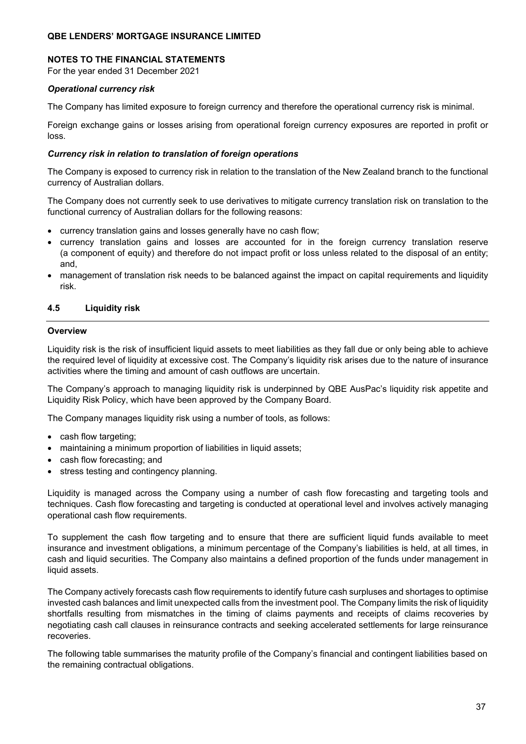#### **NOTES TO THE FINANCIAL STATEMENTS**

For the year ended 31 December 2021

### *Operational currency risk*

The Company has limited exposure to foreign currency and therefore the operational currency risk is minimal.

Foreign exchange gains or losses arising from operational foreign currency exposures are reported in profit or loss.

#### *Currency risk in relation to translation of foreign operations*

The Company is exposed to currency risk in relation to the translation of the New Zealand branch to the functional currency of Australian dollars.

The Company does not currently seek to use derivatives to mitigate currency translation risk on translation to the functional currency of Australian dollars for the following reasons:

- currency translation gains and losses generally have no cash flow;
- currency translation gains and losses are accounted for in the foreign currency translation reserve (a component of equity) and therefore do not impact profit or loss unless related to the disposal of an entity; and,
- management of translation risk needs to be balanced against the impact on capital requirements and liquidity risk.

### **4.5 Liquidity risk**

#### **Overview**

Liquidity risk is the risk of insufficient liquid assets to meet liabilities as they fall due or only being able to achieve the required level of liquidity at excessive cost. The Company's liquidity risk arises due to the nature of insurance activities where the timing and amount of cash outflows are uncertain.

The Company's approach to managing liquidity risk is underpinned by QBE AusPac's liquidity risk appetite and Liquidity Risk Policy, which have been approved by the Company Board.

The Company manages liquidity risk using a number of tools, as follows:

- cash flow targeting;
- maintaining a minimum proportion of liabilities in liquid assets;
- cash flow forecasting; and
- stress testing and contingency planning.

Liquidity is managed across the Company using a number of cash flow forecasting and targeting tools and techniques. Cash flow forecasting and targeting is conducted at operational level and involves actively managing operational cash flow requirements.

To supplement the cash flow targeting and to ensure that there are sufficient liquid funds available to meet insurance and investment obligations, a minimum percentage of the Company's liabilities is held, at all times, in cash and liquid securities. The Company also maintains a defined proportion of the funds under management in liquid assets.

The Company actively forecasts cash flow requirements to identify future cash surpluses and shortages to optimise invested cash balances and limit unexpected calls from the investment pool. The Company limits the risk of liquidity shortfalls resulting from mismatches in the timing of claims payments and receipts of claims recoveries by negotiating cash call clauses in reinsurance contracts and seeking accelerated settlements for large reinsurance recoveries.

The following table summarises the maturity profile of the Company's financial and contingent liabilities based on the remaining contractual obligations.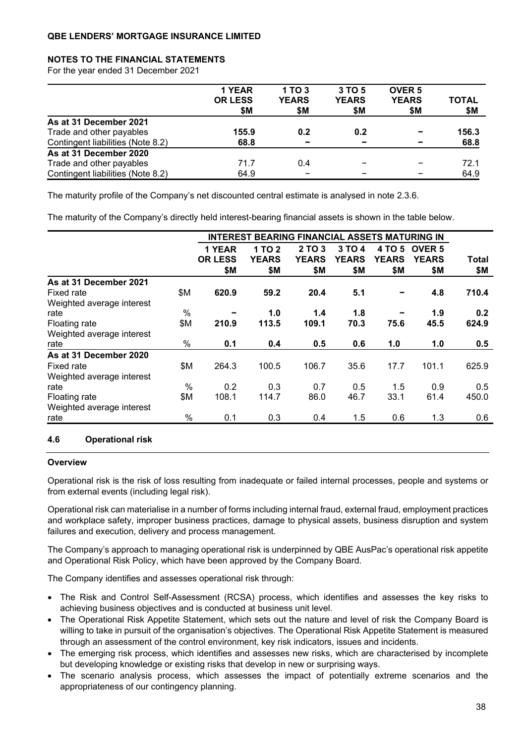### **NOTES TO THE FINANCIAL STATEMENTS**

For the year ended 31 December 2021

|                                   | 1 YEAR<br><b>OR LESS</b><br>\$Μ | 1 TO 3<br><b>YEARS</b><br>\$Μ | 3 TO 5<br><b>YEARS</b><br>\$М | <b>OVER 5</b><br><b>YEARS</b><br>\$M | <b>TOTAL</b><br>\$Μ |
|-----------------------------------|---------------------------------|-------------------------------|-------------------------------|--------------------------------------|---------------------|
| As at 31 December 2021            |                                 |                               |                               |                                      |                     |
| Trade and other payables          | 155.9                           | 0.2                           | 0.2                           |                                      | 156.3               |
| Contingent liabilities (Note 8.2) | 68.8                            | $\overline{\phantom{a}}$      | $\overline{\phantom{0}}$      |                                      | 68.8                |
| As at 31 December 2020            |                                 |                               |                               |                                      |                     |
| Trade and other payables          | 71.7                            | 0.4                           |                               |                                      | 72.1                |
| Contingent liabilities (Note 8.2) | 64.9                            | -                             |                               |                                      | 64.9                |

The maturity profile of the Company's net discounted central estimate is analysed in note 2.3.6.

The maturity of the Company's directly held interest-bearing financial assets is shown in the table below.

|                           |      | <b>INTEREST</b> |              | <b>BEARING FINANCIAL ASSETS MATURING IN</b> |              |              |               |       |
|---------------------------|------|-----------------|--------------|---------------------------------------------|--------------|--------------|---------------|-------|
|                           |      | 1 YEAR          | 1 TO 2       | 2 TO 3                                      | 3 TO 4       | 4 TO 5       | <b>OVER 5</b> |       |
|                           |      | <b>OR LESS</b>  | <b>YEARS</b> | <b>YEARS</b>                                | <b>YEARS</b> | <b>YEARS</b> | <b>YEARS</b>  | Total |
|                           |      | \$M             | \$Μ          | \$Μ                                         | \$Μ          | \$Μ          | \$Μ           | \$М   |
| As at 31 December 2021    |      |                 |              |                                             |              |              |               |       |
| <b>Fixed rate</b>         | \$Μ  | 620.9           | 59.2         | 20.4                                        | 5.1          |              | 4.8           | 710.4 |
| Weighted average interest |      |                 |              |                                             |              |              |               |       |
| rate                      | $\%$ |                 | 1.0          | 1.4                                         | 1.8          |              | 1.9           | 0.2   |
| Floating rate             | \$Μ  | 210.9           | 113.5        | 109.1                                       | 70.3         | 75.6         | 45.5          | 624.9 |
| Weighted average interest |      |                 |              |                                             |              |              |               |       |
| rate                      | %    | 0.1             | 0.4          | 0.5                                         | 0.6          | $1.0$        | 1.0           | 0.5   |
| As at 31 December 2020    |      |                 |              |                                             |              |              |               |       |
| Fixed rate                | \$Μ  | 264.3           | 100.5        | 106.7                                       | 35.6         | 17.7         | 101.1         | 625.9 |
| Weighted average interest |      |                 |              |                                             |              |              |               |       |
| rate                      | $\%$ | 0.2             | 0.3          | 0.7                                         | 0.5          | 1.5          | 0.9           | 0.5   |
| Floating rate             | \$M  | 108.1           | 114.7        | 86.0                                        | 46.7         | 33.1         | 61.4          | 450.0 |
| Weighted average interest |      |                 |              |                                             |              |              |               |       |
| rate                      | $\%$ | 0.1             | 0.3          | 0.4                                         | $1.5\,$      | 0.6          | 1.3           | 0.6   |

## **4.6 Operational risk**

#### **Overview**

Operational risk is the risk of loss resulting from inadequate or failed internal processes, people and systems or from external events (including legal risk).

Operational risk can materialise in a number of forms including internal fraud, external fraud, employment practices and workplace safety, improper business practices, damage to physical assets, business disruption and system failures and execution, delivery and process management.

The Company's approach to managing operational risk is underpinned by QBE AusPac's operational risk appetite and Operational Risk Policy, which have been approved by the Company Board.

The Company identifies and assesses operational risk through:

- The Risk and Control Self-Assessment (RCSA) process, which identifies and assesses the key risks to achieving business objectives and is conducted at business unit level.
- The Operational Risk Appetite Statement, which sets out the nature and level of risk the Company Board is willing to take in pursuit of the organisation's objectives. The Operational Risk Appetite Statement is measured through an assessment of the control environment, key risk indicators, issues and incidents.
- The emerging risk process, which identifies and assesses new risks, which are characterised by incomplete but developing knowledge or existing risks that develop in new or surprising ways.
- The scenario analysis process, which assesses the impact of potentially extreme scenarios and the appropriateness of our contingency planning.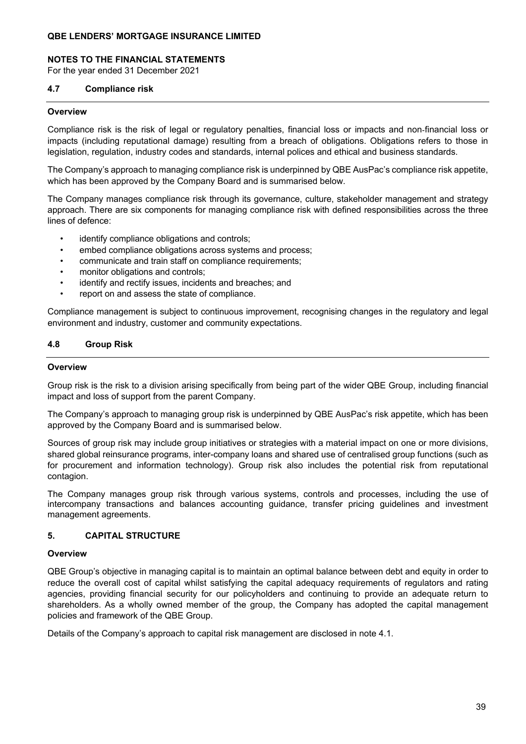### **NOTES TO THE FINANCIAL STATEMENTS**

For the year ended 31 December 2021

#### **4.7 Compliance risk**

#### **Overview**

Compliance risk is the risk of legal or regulatory penalties, financial loss or impacts and non-financial loss or impacts (including reputational damage) resulting from a breach of obligations. Obligations refers to those in legislation, regulation, industry codes and standards, internal polices and ethical and business standards.

The Company's approach to managing compliance risk is underpinned by QBE AusPac's compliance risk appetite, which has been approved by the Company Board and is summarised below.

The Company manages compliance risk through its governance, culture, stakeholder management and strategy approach. There are six components for managing compliance risk with defined responsibilities across the three lines of defence:

- identify compliance obligations and controls:
- embed compliance obligations across systems and process;
- communicate and train staff on compliance requirements;
- monitor obligations and controls;
- identify and rectify issues, incidents and breaches; and
- report on and assess the state of compliance.

Compliance management is subject to continuous improvement, recognising changes in the regulatory and legal environment and industry, customer and community expectations.

#### **4.8 Group Risk**

#### **Overview**

Group risk is the risk to a division arising specifically from being part of the wider QBE Group, including financial impact and loss of support from the parent Company.

The Company's approach to managing group risk is underpinned by QBE AusPac's risk appetite, which has been approved by the Company Board and is summarised below.

Sources of group risk may include group initiatives or strategies with a material impact on one or more divisions, shared global reinsurance programs, inter-company loans and shared use of centralised group functions (such as for procurement and information technology). Group risk also includes the potential risk from reputational contagion.

The Company manages group risk through various systems, controls and processes, including the use of intercompany transactions and balances accounting guidance, transfer pricing guidelines and investment management agreements.

### **5. CAPITAL STRUCTURE**

#### **Overview**

QBE Group's objective in managing capital is to maintain an optimal balance between debt and equity in order to reduce the overall cost of capital whilst satisfying the capital adequacy requirements of regulators and rating agencies, providing financial security for our policyholders and continuing to provide an adequate return to shareholders. As a wholly owned member of the group, the Company has adopted the capital management policies and framework of the QBE Group.

Details of the Company's approach to capital risk management are disclosed in note 4.1.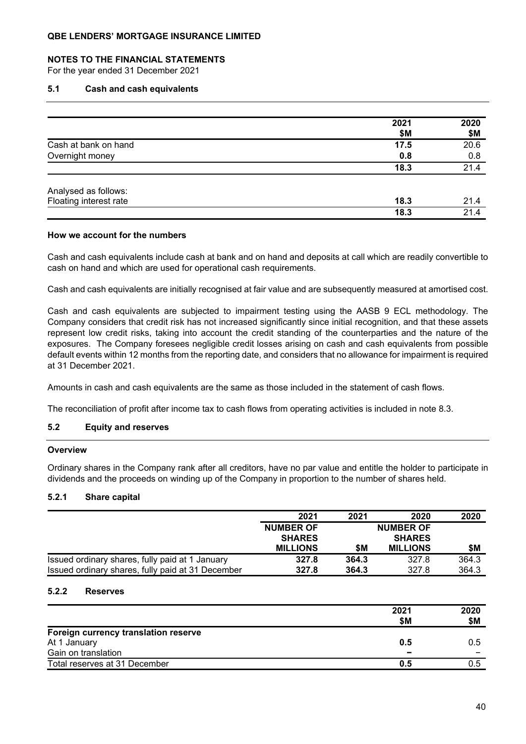### **NOTES TO THE FINANCIAL STATEMENTS**

For the year ended 31 December 2021

#### **5.1 Cash and cash equivalents**

|                        | 2021<br>\$M | 2020<br>\$M |
|------------------------|-------------|-------------|
| Cash at bank on hand   | 17.5        | 20.6        |
| Overnight money        | 0.8         | 0.8         |
|                        | 18.3        | 21.4        |
| Analysed as follows:   |             |             |
| Floating interest rate | 18.3        | 21.4        |
|                        | 18.3        | 21.4        |

#### **How we account for the numbers**

Cash and cash equivalents include cash at bank and on hand and deposits at call which are readily convertible to cash on hand and which are used for operational cash requirements.

Cash and cash equivalents are initially recognised at fair value and are subsequently measured at amortised cost.

Cash and cash equivalents are subjected to impairment testing using the AASB 9 ECL methodology. The Company considers that credit risk has not increased significantly since initial recognition, and that these assets represent low credit risks, taking into account the credit standing of the counterparties and the nature of the exposures. The Company foresees negligible credit losses arising on cash and cash equivalents from possible default events within 12 months from the reporting date, and considers that no allowance for impairment is required at 31 December 2021.

Amounts in cash and cash equivalents are the same as those included in the statement of cash flows.

The reconciliation of profit after income tax to cash flows from operating activities is included in note 8.3.

#### **5.2 Equity and reserves**

### **Overview**

Ordinary shares in the Company rank after all creditors, have no par value and entitle the holder to participate in dividends and the proceeds on winding up of the Company in proportion to the number of shares held.

### **5.2.1 Share capital**

|                                                   | 2021             | 2021  | 2020             | 2020  |
|---------------------------------------------------|------------------|-------|------------------|-------|
|                                                   | <b>NUMBER OF</b> |       | <b>NUMBER OF</b> |       |
|                                                   | <b>SHARES</b>    |       | <b>SHARES</b>    |       |
|                                                   | <b>MILLIONS</b>  | \$Μ   | <b>MILLIONS</b>  | \$M   |
| Issued ordinary shares, fully paid at 1 January   | 327.8            | 364.3 | 327.8            | 364.3 |
| Issued ordinary shares, fully paid at 31 December | 327.8            | 364.3 | 327.8            | 364.3 |

#### **5.2.2 Reserves**

|                                      | 2021<br>\$M              | 2020<br>\$M |
|--------------------------------------|--------------------------|-------------|
| Foreign currency translation reserve |                          |             |
| At 1 January                         | 0.5                      | 0.5         |
| Gain on translation                  | $\overline{\phantom{a}}$ |             |
| Total reserves at 31 December        | 0.5                      | 0.5         |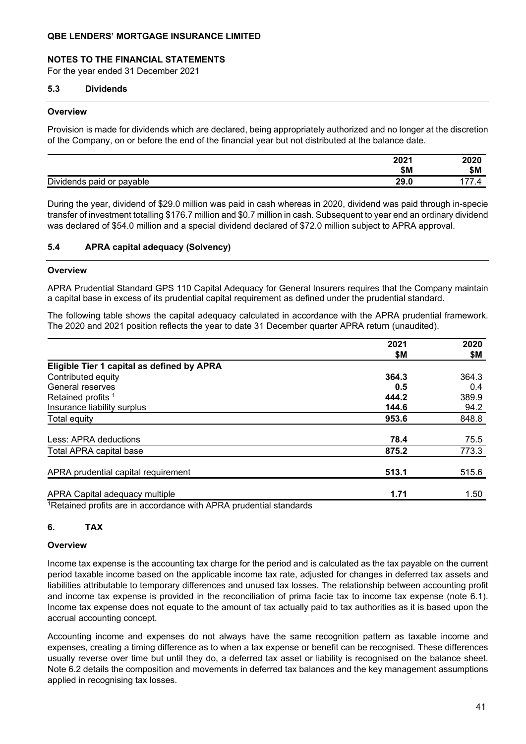### **NOTES TO THE FINANCIAL STATEMENTS**

For the year ended 31 December 2021

#### **5.3 Dividends**

#### **Overview**

Provision is made for dividends which are declared, being appropriately authorized and no longer at the discretion of the Company, on or before the end of the financial year but not distributed at the balance date.

|                                 | 2021         | 2020 |
|---------------------------------|--------------|------|
|                                 | \$M          | \$M  |
| Dividends<br>paid or<br>payable | ח חר<br>29.J |      |

During the year, dividend of \$29.0 million was paid in cash whereas in 2020, dividend was paid through in-specie transfer of investment totalling \$176.7 million and \$0.7 million in cash. Subsequent to year end an ordinary dividend was declared of \$54.0 million and a special dividend declared of \$72.0 million subject to APRA approval.

### **5.4 APRA capital adequacy (Solvency)**

#### **Overview**

APRA Prudential Standard GPS 110 Capital Adequacy for General Insurers requires that the Company maintain a capital base in excess of its prudential capital requirement as defined under the prudential standard.

The following table shows the capital adequacy calculated in accordance with the APRA prudential framework. The 2020 and 2021 position reflects the year to date 31 December quarter APRA return (unaudited).

|                                                                               | 2021  | 2020  |
|-------------------------------------------------------------------------------|-------|-------|
|                                                                               | \$M   | \$М   |
| Eligible Tier 1 capital as defined by APRA                                    |       |       |
| Contributed equity                                                            | 364.3 | 364.3 |
| General reserves                                                              | 0.5   | 0.4   |
| Retained profits <sup>1</sup>                                                 | 444.2 | 389.9 |
| Insurance liability surplus                                                   | 144.6 | 94.2  |
| Total equity                                                                  | 953.6 | 848.8 |
| Less: APRA deductions                                                         | 78.4  | 75.5  |
| Total APRA capital base                                                       | 875.2 | 773.3 |
| APRA prudential capital requirement                                           | 513.1 | 515.6 |
| APRA Capital adequacy multiple                                                | 1.71  | 1.50  |
| 1 Detailed all profits and in a secondarian with ADDA republicated atomalando |       |       |

1Retained profits are in accordance with APRA prudential standards

### **6. TAX**

#### **Overview**

Income tax expense is the accounting tax charge for the period and is calculated as the tax payable on the current period taxable income based on the applicable income tax rate, adjusted for changes in deferred tax assets and liabilities attributable to temporary differences and unused tax losses. The relationship between accounting profit and income tax expense is provided in the reconciliation of prima facie tax to income tax expense (note 6.1). Income tax expense does not equate to the amount of tax actually paid to tax authorities as it is based upon the accrual accounting concept.

Accounting income and expenses do not always have the same recognition pattern as taxable income and expenses, creating a timing difference as to when a tax expense or benefit can be recognised. These differences usually reverse over time but until they do, a deferred tax asset or liability is recognised on the balance sheet. Note 6.2 details the composition and movements in deferred tax balances and the key management assumptions applied in recognising tax losses.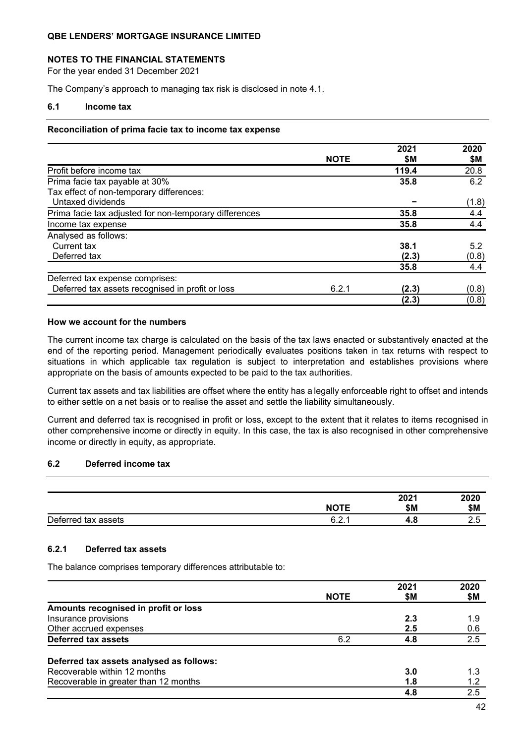### **NOTES TO THE FINANCIAL STATEMENTS**

For the year ended 31 December 2021

The Company's approach to managing tax risk is disclosed in note 4.1.

### **6.1 Income tax**

#### **Reconciliation of prima facie tax to income tax expense**

|                                                        |             | 2021  | 2020  |
|--------------------------------------------------------|-------------|-------|-------|
|                                                        | <b>NOTE</b> | \$Μ   | \$Μ   |
| Profit before income tax                               |             | 119.4 | 20.8  |
| Prima facie tax payable at 30%                         |             | 35.8  | 6.2   |
| Tax effect of non-temporary differences:               |             |       |       |
| Untaxed dividends                                      |             |       | (1.8) |
| Prima facie tax adjusted for non-temporary differences |             | 35.8  | 4.4   |
| Income tax expense                                     |             | 35.8  | 4.4   |
| Analysed as follows:                                   |             |       |       |
| Current tax                                            |             | 38.1  | 5.2   |
| Deferred tax                                           |             | (2.3) | (0.8) |
|                                                        |             | 35.8  | 4.4   |
| Deferred tax expense comprises:                        |             |       |       |
| Deferred tax assets recognised in profit or loss       | 6.2.1       | (2.3) | (0.8) |
|                                                        |             | (2.3) | (0.8) |

### **How we account for the numbers**

The current income tax charge is calculated on the basis of the tax laws enacted or substantively enacted at the end of the reporting period. Management periodically evaluates positions taken in tax returns with respect to situations in which applicable tax regulation is subject to interpretation and establishes provisions where appropriate on the basis of amounts expected to be paid to the tax authorities.

Current tax assets and tax liabilities are offset where the entity has a legally enforceable right to offset and intends to either settle on a net basis or to realise the asset and settle the liability simultaneously.

Current and deferred tax is recognised in profit or loss, except to the extent that it relates to items recognised in other comprehensive income or directly in equity. In this case, the tax is also recognised in other comprehensive income or directly in equity, as appropriate.

### **6.2 Deferred income tax**

|                     |             | 2021 | 2020 |
|---------------------|-------------|------|------|
|                     | <b>NOTE</b> | \$M  | \$Μ  |
| Deferred tax assets | c<br>◡.∠.   | 4.0  | ت ہے |

### **6.2.1 Deferred tax assets**

The balance comprises temporary differences attributable to:

|                                          |             | 2021 | 2020 |
|------------------------------------------|-------------|------|------|
|                                          | <b>NOTE</b> | \$M  | \$Μ  |
| Amounts recognised in profit or loss     |             |      |      |
| Insurance provisions                     |             | 2.3  | 1.9  |
| Other accrued expenses                   |             | 2.5  | 0.6  |
| Deferred tax assets                      | 6.2         | 4.8  | 2.5  |
| Deferred tax assets analysed as follows: |             |      |      |
| Recoverable within 12 months             |             | 3.0  | 1.3  |
| Recoverable in greater than 12 months    |             | 1.8  | 1.2  |
|                                          |             | 4.8  | 2.5  |
|                                          |             |      |      |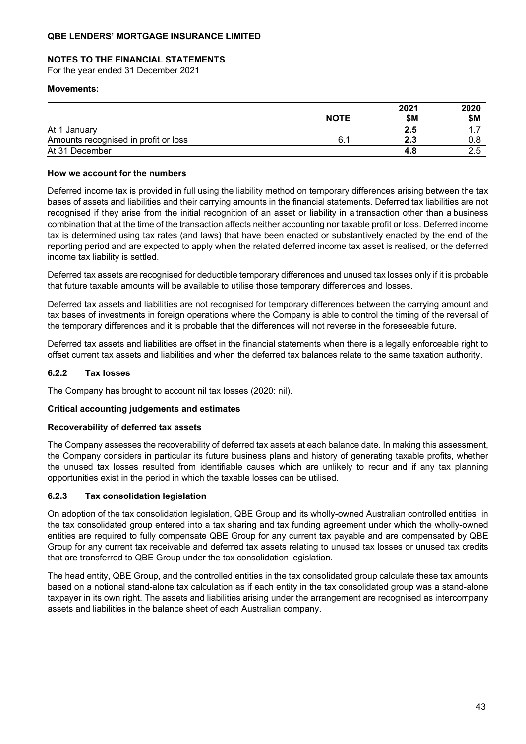### **NOTES TO THE FINANCIAL STATEMENTS**

For the year ended 31 December 2021

#### **Movements:**

|                                      |             | 2021 | 2020 |
|--------------------------------------|-------------|------|------|
|                                      | <b>NOTE</b> | \$M  | \$M  |
| At 1 January                         |             | 2.5  |      |
| Amounts recognised in profit or loss | 6.          | 2.3  |      |
| At 31 December                       |             |      |      |

### **How we account for the numbers**

Deferred income tax is provided in full using the liability method on temporary differences arising between the tax bases of assets and liabilities and their carrying amounts in the financial statements. Deferred tax liabilities are not recognised if they arise from the initial recognition of an asset or liability in a transaction other than a business combination that at the time of the transaction affects neither accounting nor taxable profit or loss. Deferred income tax is determined using tax rates (and laws) that have been enacted or substantively enacted by the end of the reporting period and are expected to apply when the related deferred income tax asset is realised, or the deferred income tax liability is settled.

Deferred tax assets are recognised for deductible temporary differences and unused tax losses only if it is probable that future taxable amounts will be available to utilise those temporary differences and losses.

Deferred tax assets and liabilities are not recognised for temporary differences between the carrying amount and tax bases of investments in foreign operations where the Company is able to control the timing of the reversal of the temporary differences and it is probable that the differences will not reverse in the foreseeable future.

Deferred tax assets and liabilities are offset in the financial statements when there is a legally enforceable right to offset current tax assets and liabilities and when the deferred tax balances relate to the same taxation authority.

### **6.2.2 Tax losses**

The Company has brought to account nil tax losses (2020: nil).

### **Critical accounting judgements and estimates**

#### **Recoverability of deferred tax assets**

The Company assesses the recoverability of deferred tax assets at each balance date. In making this assessment, the Company considers in particular its future business plans and history of generating taxable profits, whether the unused tax losses resulted from identifiable causes which are unlikely to recur and if any tax planning opportunities exist in the period in which the taxable losses can be utilised.

### **6.2.3 Tax consolidation legislation**

On adoption of the tax consolidation legislation, QBE Group and its wholly-owned Australian controlled entities in the tax consolidated group entered into a tax sharing and tax funding agreement under which the wholly-owned entities are required to fully compensate QBE Group for any current tax payable and are compensated by QBE Group for any current tax receivable and deferred tax assets relating to unused tax losses or unused tax credits that are transferred to QBE Group under the tax consolidation legislation.

The head entity, QBE Group, and the controlled entities in the tax consolidated group calculate these tax amounts based on a notional stand-alone tax calculation as if each entity in the tax consolidated group was a stand-alone taxpayer in its own right. The assets and liabilities arising under the arrangement are recognised as intercompany assets and liabilities in the balance sheet of each Australian company.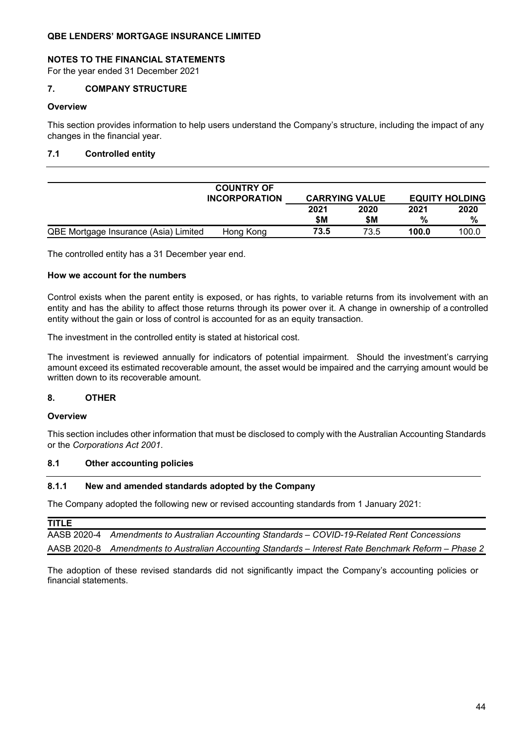### **NOTES TO THE FINANCIAL STATEMENTS**

For the year ended 31 December 2021

### **7. COMPANY STRUCTURE**

#### **Overview**

This section provides information to help users understand the Company's structure, including the impact of any changes in the financial year.

### **7.1 Controlled entity**

|                                       | <b>COUNTRY OF</b><br><b>INCORPORATION</b> |             | <b>CARRYING VALUE</b> |           | <b>EQUITY HOLDING</b> |
|---------------------------------------|-------------------------------------------|-------------|-----------------------|-----------|-----------------------|
|                                       |                                           | 2021<br>\$M | 2020<br>\$M           | 2021<br>% | 2020<br>%             |
| QBE Mortgage Insurance (Asia) Limited | Hong Kong                                 | 73.5        | 73.5                  | 100.0     | 100.0                 |

The controlled entity has a 31 December year end.

### **How we account for the numbers**

Control exists when the parent entity is exposed, or has rights, to variable returns from its involvement with an entity and has the ability to affect those returns through its power over it. A change in ownership of a controlled entity without the gain or loss of control is accounted for as an equity transaction.

The investment in the controlled entity is stated at historical cost.

The investment is reviewed annually for indicators of potential impairment. Should the investment's carrying amount exceed its estimated recoverable amount, the asset would be impaired and the carrying amount would be written down to its recoverable amount.

### **8. OTHER**

#### **Overview**

This section includes other information that must be disclosed to comply with the Australian Accounting Standards or the *Corporations Act 2001*.

#### **8.1 Other accounting policies**

### **8.1.1 New and amended standards adopted by the Company**

The Company adopted the following new or revised accounting standards from 1 January 2021:

| TITLE |                                                                                                      |
|-------|------------------------------------------------------------------------------------------------------|
|       | AASB 2020-4 Amendments to Australian Accounting Standards - COVID-19-Related Rent Concessions        |
|       | AASB 2020-8 Amendments to Australian Accounting Standards – Interest Rate Benchmark Reform – Phase 2 |

The adoption of these revised standards did not significantly impact the Company's accounting policies or financial statements.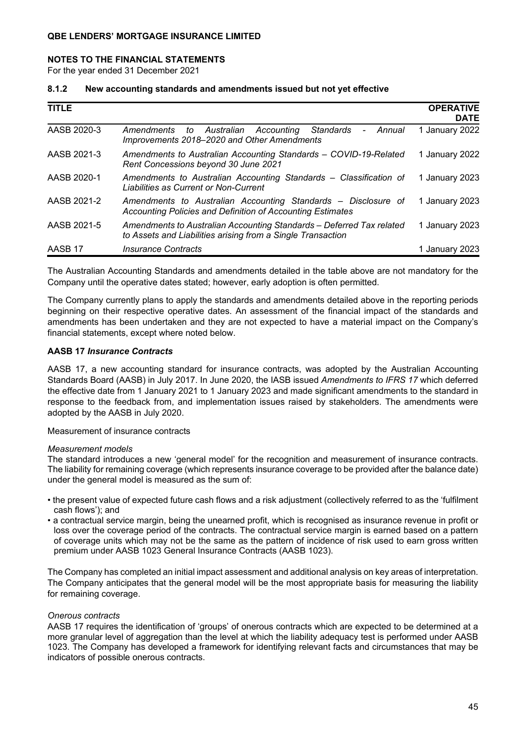#### **NOTES TO THE FINANCIAL STATEMENTS**

For the year ended 31 December 2021

#### **8.1.2 New accounting standards and amendments issued but not yet effective**

| <b>TITLE</b> |                                                                                                                                          | <b>OPERATIVE</b><br><b>DATE</b> |
|--------------|------------------------------------------------------------------------------------------------------------------------------------------|---------------------------------|
| AASB 2020-3  | Standards<br>to Australian Accounting<br>Annual<br>Amendments<br>$\overline{\phantom{0}}$<br>Improvements 2018–2020 and Other Amendments | 1 January 2022                  |
| AASB 2021-3  | Amendments to Australian Accounting Standards - COVID-19-Related<br>Rent Concessions beyond 30 June 2021                                 | 1 January 2022                  |
| AASB 2020-1  | Amendments to Australian Accounting Standards - Classification of<br>Liabilities as Current or Non-Current                               | 1 January 2023                  |
| AASB 2021-2  | Amendments to Australian Accounting Standards – Disclosure of<br>Accounting Policies and Definition of Accounting Estimates              | 1 January 2023                  |
| AASB 2021-5  | Amendments to Australian Accounting Standards - Deferred Tax related<br>to Assets and Liabilities arising from a Single Transaction      | 1 January 2023                  |
| AASB 17      | Insurance Contracts                                                                                                                      | 1 January 2023                  |

The Australian Accounting Standards and amendments detailed in the table above are not mandatory for the Company until the operative dates stated; however, early adoption is often permitted.

The Company currently plans to apply the standards and amendments detailed above in the reporting periods beginning on their respective operative dates. An assessment of the financial impact of the standards and amendments has been undertaken and they are not expected to have a material impact on the Company's financial statements, except where noted below.

#### **AASB 17** *Insurance Contracts*

AASB 17, a new accounting standard for insurance contracts, was adopted by the Australian Accounting Standards Board (AASB) in July 2017. In June 2020, the IASB issued *Amendments to IFRS 17* which deferred the effective date from 1 January 2021 to 1 January 2023 and made significant amendments to the standard in response to the feedback from, and implementation issues raised by stakeholders. The amendments were adopted by the AASB in July 2020.

#### Measurement of insurance contracts

#### *Measurement models*

The standard introduces a new 'general model' for the recognition and measurement of insurance contracts. The liability for remaining coverage (which represents insurance coverage to be provided after the balance date) under the general model is measured as the sum of:

- the present value of expected future cash flows and a risk adjustment (collectively referred to as the 'fulfilment cash flows'); and
- a contractual service margin, being the unearned profit, which is recognised as insurance revenue in profit or loss over the coverage period of the contracts. The contractual service margin is earned based on a pattern of coverage units which may not be the same as the pattern of incidence of risk used to earn gross written premium under AASB 1023 General Insurance Contracts (AASB 1023).

The Company has completed an initial impact assessment and additional analysis on key areas of interpretation. The Company anticipates that the general model will be the most appropriate basis for measuring the liability for remaining coverage.

#### *Onerous contracts*

AASB 17 requires the identification of 'groups' of onerous contracts which are expected to be determined at a more granular level of aggregation than the level at which the liability adequacy test is performed under AASB 1023. The Company has developed a framework for identifying relevant facts and circumstances that may be indicators of possible onerous contracts.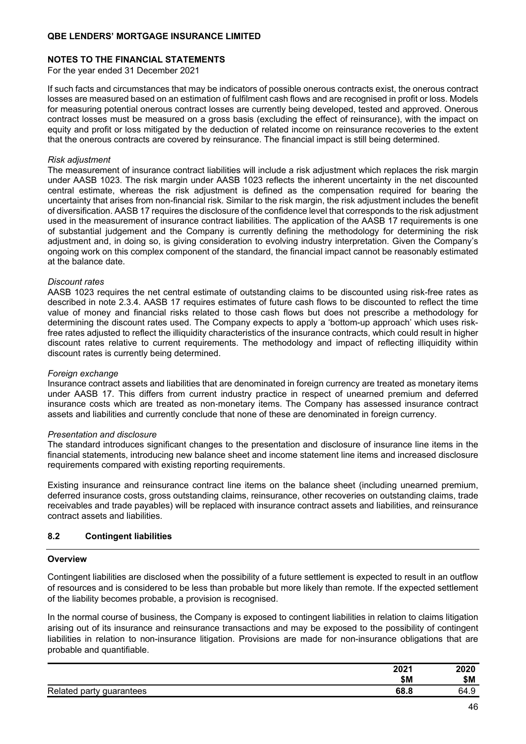### **NOTES TO THE FINANCIAL STATEMENTS**

For the year ended 31 December 2021

If such facts and circumstances that may be indicators of possible onerous contracts exist, the onerous contract losses are measured based on an estimation of fulfilment cash flows and are recognised in profit or loss. Models for measuring potential onerous contract losses are currently being developed, tested and approved. Onerous contract losses must be measured on a gross basis (excluding the effect of reinsurance), with the impact on equity and profit or loss mitigated by the deduction of related income on reinsurance recoveries to the extent that the onerous contracts are covered by reinsurance. The financial impact is still being determined.

#### *Risk adjustment*

The measurement of insurance contract liabilities will include a risk adjustment which replaces the risk margin under AASB 1023. The risk margin under AASB 1023 reflects the inherent uncertainty in the net discounted central estimate, whereas the risk adjustment is defined as the compensation required for bearing the uncertainty that arises from non-financial risk. Similar to the risk margin, the risk adjustment includes the benefit of diversification. AASB 17 requires the disclosure of the confidence level that corresponds to the risk adjustment used in the measurement of insurance contract liabilities. The application of the AASB 17 requirements is one of substantial judgement and the Company is currently defining the methodology for determining the risk adjustment and, in doing so, is giving consideration to evolving industry interpretation. Given the Company's ongoing work on this complex component of the standard, the financial impact cannot be reasonably estimated at the balance date.

#### *Discount rates*

AASB 1023 requires the net central estimate of outstanding claims to be discounted using risk-free rates as described in note 2.3.4. AASB 17 requires estimates of future cash flows to be discounted to reflect the time value of money and financial risks related to those cash flows but does not prescribe a methodology for determining the discount rates used. The Company expects to apply a 'bottom-up approach' which uses riskfree rates adjusted to reflect the illiquidity characteristics of the insurance contracts, which could result in higher discount rates relative to current requirements. The methodology and impact of reflecting illiquidity within discount rates is currently being determined.

#### *Foreign exchange*

Insurance contract assets and liabilities that are denominated in foreign currency are treated as monetary items under AASB 17. This differs from current industry practice in respect of unearned premium and deferred insurance costs which are treated as non-monetary items. The Company has assessed insurance contract assets and liabilities and currently conclude that none of these are denominated in foreign currency.

#### *Presentation and disclosure*

The standard introduces significant changes to the presentation and disclosure of insurance line items in the financial statements, introducing new balance sheet and income statement line items and increased disclosure requirements compared with existing reporting requirements.

Existing insurance and reinsurance contract line items on the balance sheet (including unearned premium, deferred insurance costs, gross outstanding claims, reinsurance, other recoveries on outstanding claims, trade receivables and trade payables) will be replaced with insurance contract assets and liabilities, and reinsurance contract assets and liabilities.

### **8.2 Contingent liabilities**

#### **Overview**

Contingent liabilities are disclosed when the possibility of a future settlement is expected to result in an outflow of resources and is considered to be less than probable but more likely than remote. If the expected settlement of the liability becomes probable, a provision is recognised.

In the normal course of business, the Company is exposed to contingent liabilities in relation to claims litigation arising out of its insurance and reinsurance transactions and may be exposed to the possibility of contingent liabilities in relation to non-insurance litigation. Provisions are made for non-insurance obligations that are probable and quantifiable.

|                          | 2021 | 2020 |
|--------------------------|------|------|
|                          | \$Μ  | \$Μ  |
| Related party guarantees | 68.8 | 64.9 |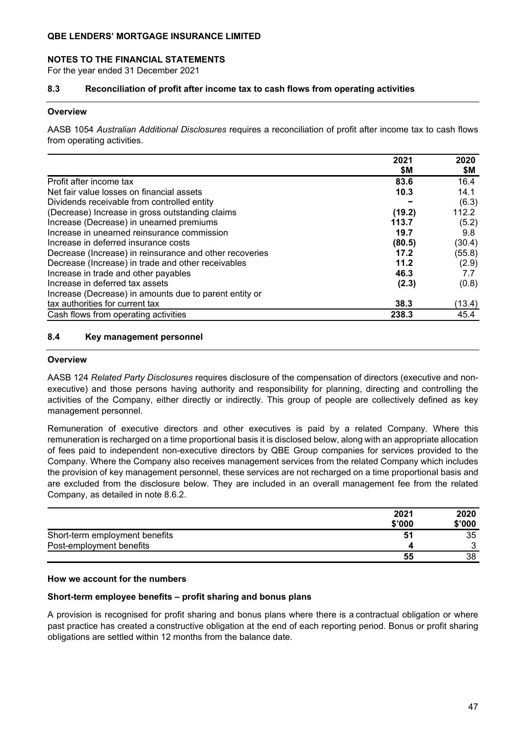#### **NOTES TO THE FINANCIAL STATEMENTS**

For the year ended 31 December 2021

### **8.3 Reconciliation of profit after income tax to cash flows from operating activities**

#### **Overview**

AASB 1054 *Australian Additional Disclosures* requires a reconciliation of profit after income tax to cash flows from operating activities.

|                                                         | 2021<br>\$M | 2020   |
|---------------------------------------------------------|-------------|--------|
|                                                         |             | \$M    |
| Profit after income tax                                 | 83.6        | 16.4   |
| Net fair value losses on financial assets               | 10.3        | 14.1   |
| Dividends receivable from controlled entity             |             | (6.3)  |
| (Decrease) Increase in gross outstanding claims         | (19.2)      | 112.2  |
| Increase (Decrease) in unearned premiums                | 113.7       | (5.2)  |
| Increase in unearned reinsurance commission             | 19.7        | 9.8    |
| Increase in deferred insurance costs                    | (80.5)      | (30.4) |
| Decrease (Increase) in reinsurance and other recoveries | 17.2        | (55.8) |
| Decrease (Increase) in trade and other receivables      | 11.2        | (2.9)  |
| Increase in trade and other payables                    | 46.3        | 7.7    |
| Increase in deferred tax assets                         | (2.3)       | (0.8)  |
| Increase (Decrease) in amounts due to parent entity or  |             |        |
| tax authorities for current tax                         | 38.3        | (13.4) |
| Cash flows from operating activities                    | 238.3       | 45.4   |

#### **8.4 Key management personnel**

#### **Overview**

AASB 124 *Related Party Disclosures* requires disclosure of the compensation of directors (executive and nonexecutive) and those persons having authority and responsibility for planning, directing and controlling the activities of the Company, either directly or indirectly. This group of people are collectively defined as key management personnel.

Remuneration of executive directors and other executives is paid by a related Company. Where this remuneration is recharged on a time proportional basis it is disclosed below, along with an appropriate allocation of fees paid to independent non-executive directors by QBE Group companies for services provided to the Company. Where the Company also receives management services from the related Company which includes the provision of key management personnel, these services are not recharged on a time proportional basis and are excluded from the disclosure below. They are included in an overall management fee from the related Company, as detailed in note 8.6.2.

|                                | 2021   | 2020   |
|--------------------------------|--------|--------|
|                                | \$'000 | \$'000 |
| Short-term employment benefits | 51     | 35     |
| Post-employment benefits       |        | ◠      |
|                                | 55     | 38     |

### **How we account for the numbers**

#### **Short-term employee benefits – profit sharing and bonus plans**

A provision is recognised for profit sharing and bonus plans where there is a contractual obligation or where past practice has created a constructive obligation at the end of each reporting period. Bonus or profit sharing obligations are settled within 12 months from the balance date.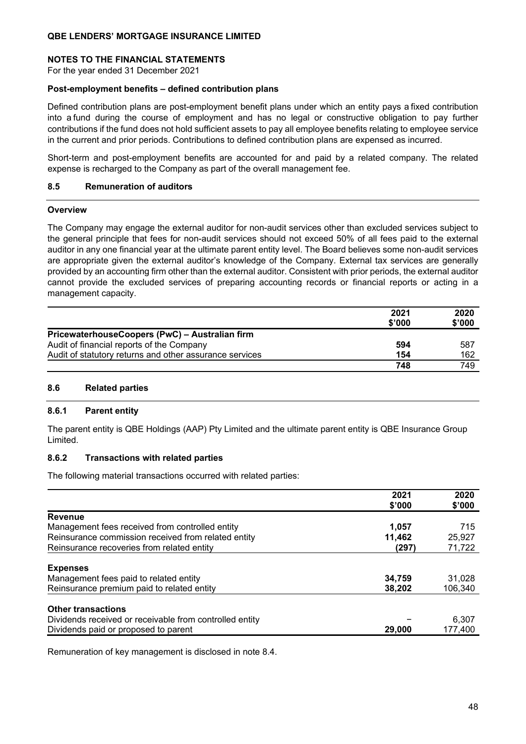### **NOTES TO THE FINANCIAL STATEMENTS**

For the year ended 31 December 2021

#### **Post-employment benefits – defined contribution plans**

Defined contribution plans are post-employment benefit plans under which an entity pays a fixed contribution into a fund during the course of employment and has no legal or constructive obligation to pay further contributions if the fund does not hold sufficient assets to pay all employee benefits relating to employee service in the current and prior periods. Contributions to defined contribution plans are expensed as incurred.

Short-term and post-employment benefits are accounted for and paid by a related company. The related expense is recharged to the Company as part of the overall management fee.

#### **8.5 Remuneration of auditors**

#### **Overview**

The Company may engage the external auditor for non-audit services other than excluded services subject to the general principle that fees for non-audit services should not exceed 50% of all fees paid to the external auditor in any one financial year at the ultimate parent entity level. The Board believes some non-audit services are appropriate given the external auditor's knowledge of the Company. External tax services are generally provided by an accounting firm other than the external auditor. Consistent with prior periods, the external auditor cannot provide the excluded services of preparing accounting records or financial reports or acting in a management capacity.

|                                                         | 2021<br>\$'000 | 2020<br>\$'000 |
|---------------------------------------------------------|----------------|----------------|
| PricewaterhouseCoopers (PwC) - Australian firm          |                |                |
| Audit of financial reports of the Company               | 594            | 587            |
| Audit of statutory returns and other assurance services | 154            | 162            |
|                                                         | 748            | 749            |

### **8.6 Related parties**

#### **8.6.1 Parent entity**

The parent entity is QBE Holdings (AAP) Pty Limited and the ultimate parent entity is QBE Insurance Group Limited.

#### **8.6.2 Transactions with related parties**

The following material transactions occurred with related parties:

|                                                         | 2021<br>\$'000 | 2020<br>\$'000 |
|---------------------------------------------------------|----------------|----------------|
| <b>Revenue</b>                                          |                |                |
| Management fees received from controlled entity         | 1,057          | 715            |
| Reinsurance commission received from related entity     | 11,462         | 25,927         |
| Reinsurance recoveries from related entity              | (297)          | 71,722         |
| <b>Expenses</b>                                         |                |                |
| Management fees paid to related entity                  | 34,759         | 31,028         |
| Reinsurance premium paid to related entity              | 38,202         | 106.340        |
| <b>Other transactions</b>                               |                |                |
| Dividends received or receivable from controlled entity |                | 6,307          |
| Dividends paid or proposed to parent                    | 29,000         | 177,400        |
|                                                         |                |                |

Remuneration of key management is disclosed in note 8.4.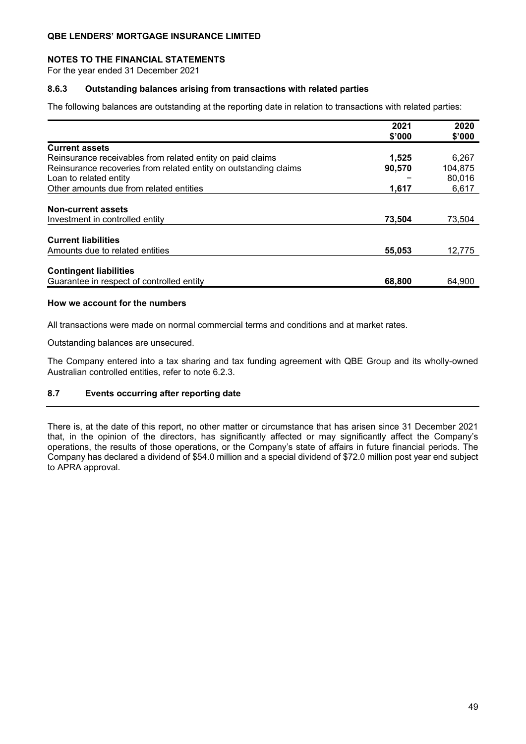### **NOTES TO THE FINANCIAL STATEMENTS**

For the year ended 31 December 2021

### **8.6.3 Outstanding balances arising from transactions with related parties**

The following balances are outstanding at the reporting date in relation to transactions with related parties:

|                                                                  | 2021   | 2020    |
|------------------------------------------------------------------|--------|---------|
|                                                                  | \$'000 | \$'000  |
| <b>Current assets</b>                                            |        |         |
| Reinsurance receivables from related entity on paid claims       | 1,525  | 6,267   |
| Reinsurance recoveries from related entity on outstanding claims | 90,570 | 104,875 |
| Loan to related entity                                           |        | 80,016  |
| Other amounts due from related entities                          | 1.617  | 6,617   |
| <b>Non-current assets</b>                                        |        |         |
| Investment in controlled entity                                  | 73,504 | 73,504  |
| <b>Current liabilities</b>                                       |        |         |
| Amounts due to related entities                                  | 55,053 | 12,775  |
| <b>Contingent liabilities</b>                                    |        |         |
| Guarantee in respect of controlled entity                        | 68,800 | 64,900  |

### **How we account for the numbers**

All transactions were made on normal commercial terms and conditions and at market rates.

Outstanding balances are unsecured.

The Company entered into a tax sharing and tax funding agreement with QBE Group and its wholly-owned Australian controlled entities, refer to note 6.2.3.

### **8.7 Events occurring after reporting date**

There is, at the date of this report, no other matter or circumstance that has arisen since 31 December 2021 that, in the opinion of the directors, has significantly affected or may significantly affect the Company's operations, the results of those operations, or the Company's state of affairs in future financial periods. The Company has declared a dividend of \$54.0 million and a special dividend of \$72.0 million post year end subject to APRA approval.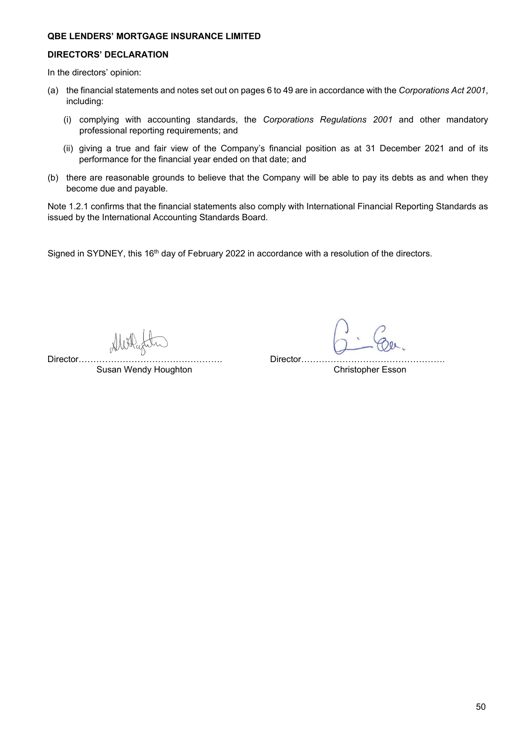### **DIRECTORS' DECLARATION**

In the directors' opinion:

- (a) the financial statements and notes set out on pages 6 to 49 are in accordance with the *Corporations Act 2001*, including:
	- (i) complying with accounting standards, the *Corporations Regulations 2001* and other mandatory professional reporting requirements; and
	- (ii) giving a true and fair view of the Company's financial position as at 31 December 2021 and of its performance for the financial year ended on that date; and
- (b) there are reasonable grounds to believe that the Company will be able to pay its debts as and when they become due and payable.

Note 1.2.1 confirms that the financial statements also comply with International Financial Reporting Standards as issued by the International Accounting Standards Board.

Signed in SYDNEY, this 16<sup>th</sup> day of February 2022 in accordance with a resolution of the directors.

Director…………………………………………. Director…………………………………………. Susan Wendy Houghton Christopher Esson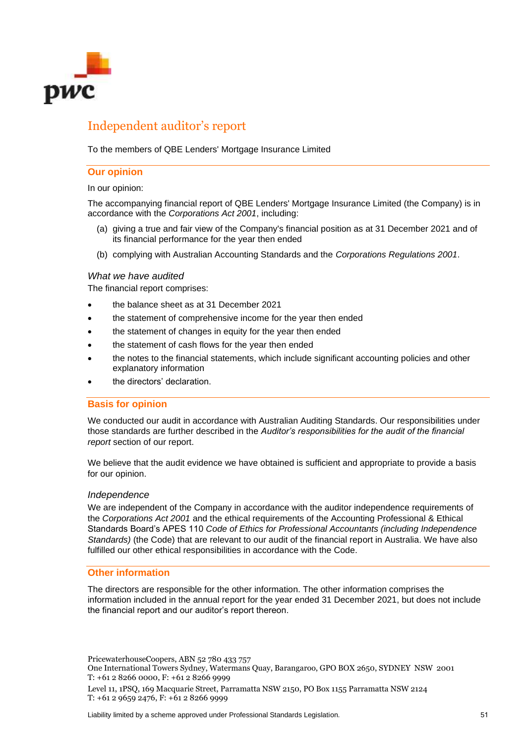

# Independent auditor's report

To the members of QBE Lenders' Mortgage Insurance Limited

#### **Our opinion**

In our opinion:

The accompanying financial report of QBE Lenders' Mortgage Insurance Limited (the Company) is in accordance with the *Corporations Act 2001*, including:

- (a) giving a true and fair view of the Company's financial position as at 31 December 2021 and of its financial performance for the year then ended
- (b) complying with Australian Accounting Standards and the *Corporations Regulations 2001*.

### *What we have audited*

The financial report comprises:

- the balance sheet as at 31 December 2021
- the statement of comprehensive income for the year then ended
- the statement of changes in equity for the year then ended
- the statement of cash flows for the year then ended
- the notes to the financial statements, which include significant accounting policies and other explanatory information
- the directors' declaration.

### **Basis for opinion**

We conducted our audit in accordance with Australian Auditing Standards. Our responsibilities under those standards are further described in the *Auditor's responsibilities for the audit of the financial report* section of our report.

We believe that the audit evidence we have obtained is sufficient and appropriate to provide a basis for our opinion.

#### *Independence*

We are independent of the Company in accordance with the auditor independence requirements of the *Corporations Act 2001* and the ethical requirements of the Accounting Professional & Ethical Standards Board's APES 110 *Code of Ethics for Professional Accountants (including Independence Standards)* (the Code) that are relevant to our audit of the financial report in Australia. We have also fulfilled our other ethical responsibilities in accordance with the Code.

#### **Other information**

The directors are responsible for the other information. The other information comprises the information included in the annual report for the year ended 31 December 2021, but does not include the financial report and our auditor's report thereon.

PricewaterhouseCoopers, ABN 52 780 433 757

One International Towers Sydney, Watermans Quay, Barangaroo, GPO BOX 2650, SYDNEY NSW 2001 T: +61 2 8266 0000, F: +61 2 8266 9999

Level 11, 1PSQ, 169 Macquarie Street, Parramatta NSW 2150, PO Box 1155 Parramatta NSW 2124 T: +61 2 9659 2476, F: +61 2 8266 9999